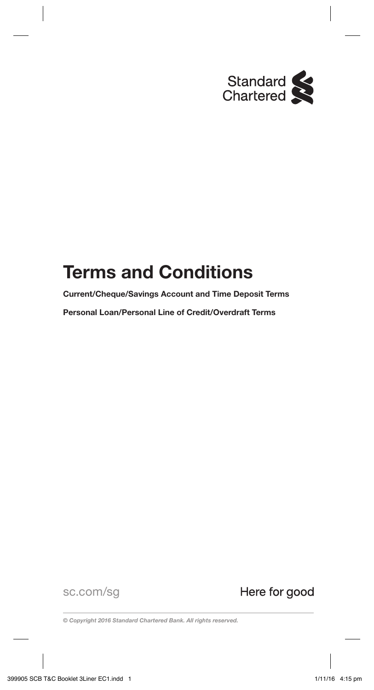

# **Terms and Conditions**

**Current/Cheque/Savings Account and Time Deposit Terms** 

**Personal Loan/Personal Line of Credit/Overdraft Terms**

sc.com/sg

Here for good

*© Copyright 2016 Standard Chartered Bank. All rights reserved.*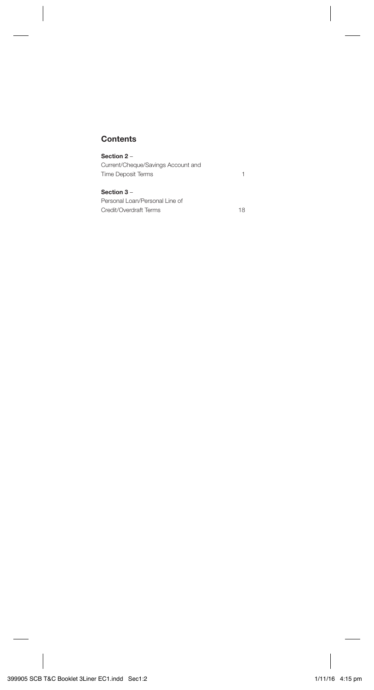## **Contents**

| Section 2 –                        |  |
|------------------------------------|--|
| Current/Cheque/Savings Account and |  |
| Time Deposit Terms                 |  |
| Section 3-                         |  |

Personal Loan/Personal Line of Credit/Overdraft Terms 18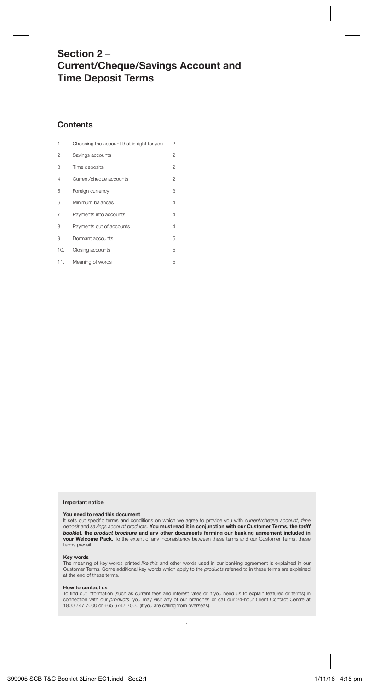## **Section 2** – **Current/Cheque/Savings Account and Time Deposit Terms**

## **Contents**

| 1.  | Choosing the account that is right for you | 2              |
|-----|--------------------------------------------|----------------|
| 2.  | Savings accounts                           | $\overline{c}$ |
| 3.  | Time deposits                              | $\overline{2}$ |
| 4.  | Current/cheque accounts                    | $\overline{c}$ |
| 5.  | Foreign currency                           | 3              |
| 6.  | Minimum balances                           | $\overline{4}$ |
| 7.  | Payments into accounts                     | $\overline{4}$ |
| 8.  | Payments out of accounts                   | 4              |
| 9.  | Dormant accounts                           | 5              |
| 10. | Closing accounts                           | 5              |
| 11. | Meaning of words                           | 5              |

#### **Important notice**

#### **You need to read this document**

It sets out specific terms and conditions on which we agree to provide you with current/cheque account, time deposit and savings account products. **You must read it in conjunction with our Customer Terms, the** *tariff booklet***, the** *product brochure* **and any other documents forming our banking agreement included in your Welcome Pack**. To the extent of any inconsistency between these terms and our Customer Terms, these terms prevail.

#### **Key words**

The meaning of key words printed like this and other words used in our banking agreement is explained in our Customer Terms. Some additional key words which apply to the products referred to in these terms are explained at the end of these terms.

## **How to contact us**

To find out information (such as current fees and interest rates or if you need us to explain features or terms) in connection with our products, you may visit any of our branches or call our 24-hour Client Contact Centre at 1800 747 7000 or +65 6747 7000 (if you are calling from overseas).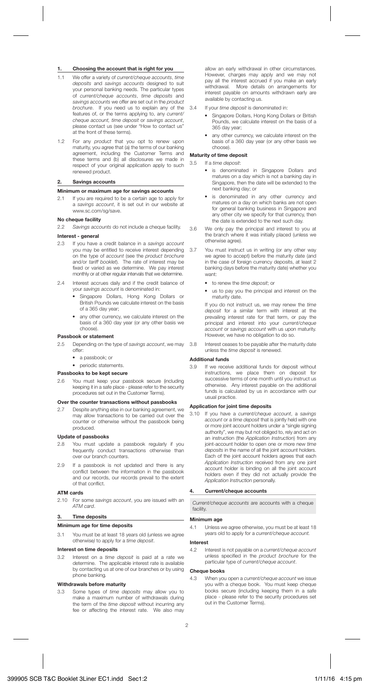## **1. Choosing the account that is right for you**

- 1.1 We offer a variety of current/cheque accounts, time deposits and savings accounts designed to suit your personal banking needs. The particular types of current/cheque accounts, time deposits and savings accounts we offer are set out in the product brochure. If you need us to explain any of the features of, or the terms applying to, any current/ cheque account, time deposit or savings account, please contact us (see under "How to contact us at the front of these terms).
- 1.2 For any product that you opt to renew upon maturity, you agree that (a) the terms of our banking agreement, including the Customer Terms and these terms and (b) all disclosures we made in respect of your original application apply to such renewed product.

#### **2. Savings accounts**

#### **Minimum or maximum age for savings accounts**

2.1 If you are required to be a certain age to apply for a savings account, it is set out in our website at www.sc.com/sg/save.

#### **No cheque facility**

2.2 Savings accounts do not include a cheque facility.

## **Interest - general**

- If you have a credit balance in a savings account you may be entitled to receive interest depending on the type of account (see the product brochure and/or tariff booklet). The rate of interest may be fixed or varied as we determine. We pay interest monthly or at other regular intervals that we determine.
- 2.4 Interest accrues daily and if the credit balance of your savings account is denominated in:
	- Singapore Dollars, Hong Kong Dollars or British Pounds we calculate interest on the basis of a 365 day year;
	- any other currency, we calculate interest on the basis of a 360 day year (or any other basis we choose).

## **Passbook or statement**<br>2.5 Depending on the 1

- Depending on the type of savings account, we may  $offor$ 
	- a passbook; or
	- periodic statements.
- **Passbooks to be kept secure**
- 2.6 You must keep your passbook secure (including keeping it in a safe place - please refer to the security procedures set out in the Customer Terms).

### **Over the counter transactions without passbooks**

2.7 Despite anything else in our banking agreement, we may allow transactions to be carried out over the counter or otherwise without the passbook being produced.

#### **Update of passbooks**

- 2.8 You must update a passbook regularly if you frequently conduct transactions otherwise than over our branch counters.
- 2.9 If a passbook is not updated and there is any conflict between the information in the passbook and our records, our records prevail to the extent of that conflict.

## **ATM cards**

2.10 For some savings account, you are issued with an ATM card.

## **3. Time deposits**

### **Minimum age for time deposits**

3.1 You must be at least 18 years old (unless we agree otherwise) to apply for a time deposit.

## **Interest on time deposits**

3.2 Interest on a time deposit is paid at a rate we determine. The applicable interest rate is available by contacting us at one of our branches or by using phone banking.

## **Withdrawals before maturity**

3.3 Some types of time deposits may allow you to make a maximum number of withdrawals during the term of the time deposit without incurring any fee or affecting the interest rate. We also may allow an early withdrawal in other circumstances. However, charges may apply and we may not pay all the interest accrued if you make an early withdrawal. More details on arrangements for interest payable on amounts withdrawn early are available by contacting us.

- 3.4 If your time deposit is denominated in:
	- Singapore Dollars, Hong Kong Dollars or British Pounds, we calculate interest on the basis of a 365 day year;
	- any other currency, we calculate interest on the basis of a 360 day year (or any other basis we choose).

## **Maturity of time deposit** 3.5 If a time denosit:

- If a time deposit:
	- is denominated in Singapore Dollars and matures on a day which is not a banking day in Singapore, then the date will be extended to the next banking day; or
	- is denominated in any other currency and matures on a day on which banks are not open for general banking business in Singapore and any other city we specify for that currency, then the date is extended to the next such day.
- 3.6 We only pay the principal and interest to you at the branch where it was initially placed (unless we otherwise agree).
- 3.7 You must instruct us in writing (or any other way we agree to accept) before the maturity date (and in the case of foreign currency deposits, at least 2 banking days before the maturity date) whether you want:
	- to renew the time deposit; or
	- us to pay you the principal and interest on the maturity date.

 If you do not instruct us, we may renew the time deposit for a similar term with interest at the prevailing interest rate for that term, or pay the principal and interest into your current/cheque account or savings account with us upon maturity. However, we have no obligation to do so.

3.8 Interest ceases to be payable after the maturity date unless the *time deposit* is renewed.

#### **Additional funds**

3.9 If we receive additional funds for deposit without instructions, we place them on deposit for successive terms of one month until you instruct us otherwise. Any interest payable on the additional funds is calculated by us in accordance with our usual practice.

#### **Application for joint time deposits**

3.10 If you have a current/cheque account, a savings account or a time deposit that is jointly held with one or more joint account holders under a "single signing authority", we may but not obliged to, rely and act on an instruction (the Application Instruction) from any joint-account holder to open one or more new time deposits in the name of all the joint account holders. Each of the joint account holders agrees that each Application Instruction received from any one joint account holder is binding on all the joint account holders even if they did not actually provide the Application Instruction personally.

#### **4. Current/cheque accounts**

Current/cheque accounts are accounts with a cheque facility.

#### **Minimum age**

4.1 Unless we agree otherwise, you must be at least 18 years old to apply for a current/cheque account.

#### **Interest**

4.2 Interest is not payable on a current/cheque account unless specified in the product brochure for the particular type of current/cheque account.

## **Cheque books**

4.3 When you open a current/cheque account we issue you with a cheque book. You must keep cheque books secure (including keeping them in a safe place - please refer to the security procedures set out in the Customer Terms).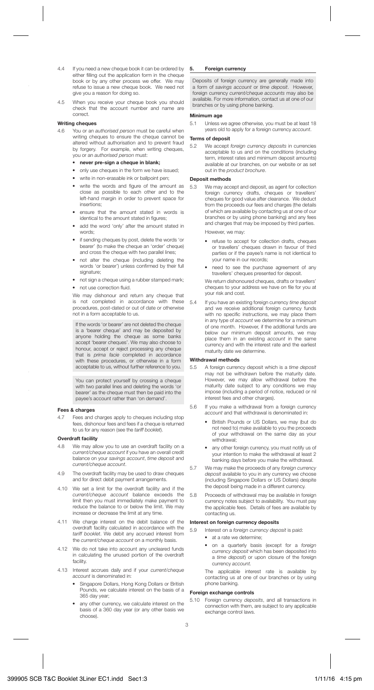- 4.4 If you need a new cheque book it can be ordered by either filling out the application form in the cheque book or by any other process we offer. We may refuse to issue a new cheque book. We need not give you a reason for doing so.
- 4.5 When you receive your cheque book you should check that the account number and name are correct.

## **Writing cheques**

- You or an *authorised person* must be careful when writing cheques to ensure the cheque cannot be altered without authorisation and to prevent fraud by forgery. For example, when writing cheques, you or an authorised person must:
	- **never pre-sign a cheque in blank;**
	- only use cheques in the form we have issued;
	- write in non-erasable ink or ballpoint pen;
	- write the words and figure of the amount as close as possible to each other and to the left-hand margin in order to prevent space for insertions;
	- ensure that the amount stated in words is identical to the amount stated in figures;
	- add the word 'only' after the amount stated in words;
	- if sending cheques by post, delete the words 'or bearer' (to make the cheque an 'order' cheque) and cross the cheque with two parallel lines;
	- not alter the cheque (including deleting the words 'or bearer') unless confirmed by their full signature;
	- not sign a cheque using a rubber stamped mark;
	- not use correction fluid.

 We may dishonour and return any cheque that is not completed in accordance with these procedures, post-dated or out of date or otherwise not in a form acceptable to us.

If the words 'or bearer' are not deleted the cheque is a 'bearer cheque' and may be deposited by anyone holding the cheque as some banks accept 'bearer cheques'. We may also choose to honour, accept or reject processing any cheque that is prima facie completed in accordance with these procedures, or otherwise in a form acceptable to us, without further reference to you.

You can protect yourself by crossing a cheque with two parallel lines and deleting the words 'or bearer' as the cheque must then be paid into the payee's account rather than 'on demand'.

#### **Fees & charges**

4.7 Fees and charges apply to cheques including stop fees, dishonour fees and fees if a cheque is returned to us for any reason (see the tariff booklet).

#### **Overdraft facility**

- 4.8 We may allow you to use an overdraft facility on a current/cheque account if you have an overall credit balance on your savings account, time deposit and current/cheque account.
- 4.9 The overdraft facility may be used to draw cheques and for direct debit payment arrangements.
- 4.10 We set a limit for the overdraft facility and if the current/cheque account balance exceeds the limit then you must immediately make payment to reduce the balance to or below the limit. We may increase or decrease the limit at any time.
- 4.11 We charge interest on the debit balance of the overdraft facility calculated in accordance with the tariff booklet. We debit any accrued interest from the current/cheque account on a monthly basis.
- 4.12 We do not take into account any uncleared funds in calculating the unused portion of the overdraft facility.
- 4.13 Interest accrues daily and if your current/cheque account is denominated in:
	- Singapore Dollars, Hong Kong Dollars or British Pounds, we calculate interest on the basis of a 365 day year;
	- any other currency, we calculate interest on the basis of a 360 day year (or any other basis we choose).

#### **5. Foreign currency**

Deposits of foreign currency are generally made into a form of savings account or time deposit. However, foreign currency current/cheque accounts may also be available. For more information, contact us at one of our branches or by using phone banking.

#### **Minimum age**

5.1 Unless we agree otherwise, you must be at least 18 years old to apply for a foreign currency account.

#### **Terms of deposit**

5.2 We accept foreign currency deposits in currencies acceptable to us and on the conditions (including term, interest rates and minimum deposit amounts) available at our branches, on our website or as set out in the product brochure.

#### **Deposit methods**

5.3 We may accept and deposit, as agent for collection foreign currency drafts, cheques or travellers' cheques for good value after clearance. We deduct from the proceeds our fees and charges (the details of which are available by contacting us at one of our branches or by using phone banking) and any fees and charges that may be imposed by third parties.

However, we may:

- refuse to accept for collection drafts, cheques or travellers' cheques drawn in favour of third parties or if the payee's name is not identical to your name in our records;
- need to see the purchase agreement of any travellers' cheques presented for deposit.

We return dishonoured cheques, drafts or travellers' cheques to your address we have on file for you at your risk and cost.

5.4 If you have an existing foreign currency time deposit and we receive additional foreign currency funds with no specific instructions, we may place them in any type of account we determine for a minimum of one month. However, if the additional funds are below our minimum deposit amounts, we may place them in an existing account in the same currency and with the interest rate and the earliest maturity date we determine.

## **Withdrawal methods**

- 5.5 A foreign currency deposit which is a time deposit may not be withdrawn before the maturity date. However, we may allow withdrawal before the maturity date subject to any conditions we may impose (including a period of notice, reduced or nil interest fees and other charges).
- 5.6 If you make a withdrawal from a foreign currency account and that withdrawal is denominated in:
	- British Pounds or US Dollars, we may (but do not need to) make available to you the proceeds of your withdrawal on the same day as your withdrawal;
	- any other foreign currency, you must notify us of your intention to make the withdrawal at least 2 banking days before you make the withdrawal.
- 5.7 We may make the proceeds of any foreign currency deposit available to you in any currency we choose (including Singapore Dollars or US Dollars) despite the deposit being made in a different currency.
- 5.8 Proceeds of withdrawal may be available in foreign currency notes subject to availability. You must pay the applicable fees. Details of fees are available by contacting us.

#### **Interest on foreign currency deposits**

5.9 Interest on a foreign currency deposit is paid:

- at a rate we determine;
- on a quarterly basis (except for a foreign currency deposit which has been deposited into a time deposit) or upon closure of the foreign currency account.

 The applicable interest rate is available by contacting us at one of our branches or by using phone banking.

#### **Foreign exchange controls**

5.10 Foreign currency deposits, and all transactions in connection with them, are subject to any applicable exchange control laws.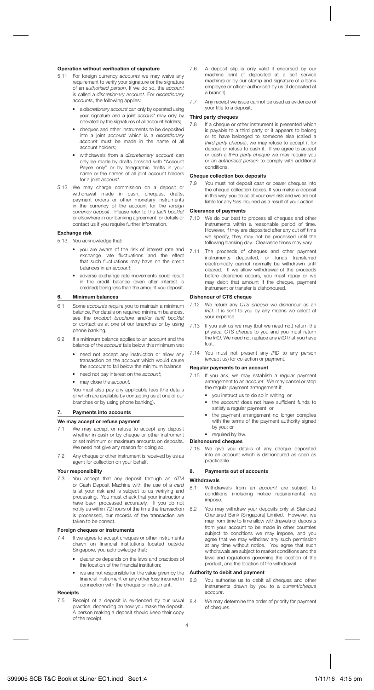#### **Operation without verification of signature**

- 5.11 For foreign currency accounts we may waive any requirement to verify your signature or the signature of an authorised person. If we do so, the account is called a discretionary account. For discretionary accounts, the following applies:
	- a discretionary account can only by operated using your signature and a joint account may only by operated by the signatures of all account holders;
	- cheques and other instruments to be deposited into a joint account which is a discretionary account must be made in the name of all account holders;
	- withdrawals from a discretionary account can only be made by drafts crossed with "Account Payee only" or by telegraphic drafts in your name or the names of all joint account holders for a joint account.
- 5.12 We may charge commission on a deposit or withdrawal made in cash, cheques, drafts, payment orders or other monetary instruments in the currency of the account for the foreign currency deposit. Please refer to the tariff booklet or elsewhere in our banking agreement for details or contact us if you require further information.

#### **Exchange risk**

5.13 You acknowledge that:

- you are aware of the risk of interest rate and exchange rate fluctuations and the effect that such fluctuations may have on the credit balances in an account;
- adverse exchange rate movements could result in the credit balance (even after interest is credited) being less than the amount you deposit.

#### **6. Minimum balances**

- 6.1 Some accounts require you to maintain a minimum balance. For details on required minimum balances, see the product brochure and/or tariff booklet or contact us at one of our branches or by using phone banking.
- 6.2 If a minimum balance applies to an account and the balance of the account falls below this minimum we:
	- need not accept any instruction or allow any transaction on the account which would cause the *account* to fall below the minimum balance:
	- need not pay interest on the account:
	- may close the account.

You must also pay any applicable fees (the details of which are available by contacting us at one of our branches or by using phone banking).

## **7. Payments into accounts**

#### **We may accept or refuse payment**

- 7.1 We may accept or refuse to accept any deposit whether in cash or by cheque or other instrument or set minimum or maximum amounts on deposits. We need not give any reason for doing so.
- 7.2 Any cheque or other instrument is received by us as agent for collection on your behalf.

## **Your responsibility**

You accept that any deposit through an ATM or Cash Deposit Machine with the use of a card is at your risk and is subject to us verifying and processing. You must check that your instructions have been processed accurately. If you do not notify us within 72 hours of the time the transaction is processed, our records of the transaction are taken to be correct.

#### **Foreign cheques or instruments**

- 7.4 If we agree to accept cheques or other instruments drawn on financial institutions located outside Singapore, you acknowledge that:
	- clearance depends on the laws and practices of the location of the financial institution;
	- we are not responsible for the value given by the financial instrument or any other loss incurred in connection with the cheque or instrument.

## **Receipts**

7.5 Receipt of a deposit is evidenced by our usual practice, depending on how you make the deposit. A person making a deposit should keep their copy of the receipt.

- 7.6 A deposit slip is only valid if endorsed by our machine print (if deposited at a self service machine) or by our stamp and signature of a bank employee or officer authorised by us (if deposited at a branch).
- 7.7 Any receipt we issue cannot be used as evidence of your title to a deposit.

## **Third party cheques**

7.8 If a cheque or other instrument is presented which is payable to a third party or it appears to belong or to have belonged to someone else (called a third party cheque), we may refuse to accept it for deposit or refuse to cash it. If we agree to accept or cash a third party cheque we may require you or an authorised person to comply with additional conditions.

#### **Cheque collection box deposits**

7.9 You must not deposit cash or bearer cheques into the cheque collection boxes. If you make a deposit in this way, you do so at your own risk and we are not liable for any loss incurred as a result of your action.

## **Clearance of payments**

- 7.10 We do our best to process all cheques and other instruments within a reasonable period of time. However, if they are deposited after any cut off time we specify, they may not be processed until the following banking day. Clearance times may vary.
- 7.11 The proceeds of cheques and other payment instruments deposited, or funds transferred electronically cannot normally be withdrawn until cleared. If we allow withdrawal of the proceeds before clearance occurs, you must repay or we may debit that amount if the cheque, payment instrument or transfer is dishonoured.

#### **Dishonour of CTS cheque**

- 7.12 We return any CTS cheque we dishonour as an IRD. It is sent to you by any means we select at your expense.
- 7.13 If you ask us we may (but we need not) return the physical CTS cheque to you and you must return the IRD. We need not replace any IRD that you have lost.
- 7.14 You must not present any IRD to any person (except us) for collection or payment.

#### **Regular payments to an account**

- 7.15 If you ask, we may establish a regular payment arrangement to an account. We may cancel or stop the regular payment arrangement if:
	- you instruct us to do so in writing; or
	- the *account* does not have sufficient funds to satisfy a regular payment; or
	- the payment arrangement no longer complies with the terms of the payment authority signed by you; or
	- required by law.

#### **Dishonoured cheques**

7.16 We give you details of any cheque deposited into an account which is dishonoured as soon as practicable.

#### **8. Payments out of accounts**

## **Withdrawals**

- 8.1 Withdrawals from an account are subject to conditions (including notice requirements) we impose.
- 8.2 You may withdraw your deposits only at Standard Chartered Bank (Singapore) Limited. However, we may from time to time allow withdrawals of deposits from your account to be made in other countries subject to conditions we may impose, and you agree that we may withdraw any such permission at any time without notice. You agree that such withdrawals are subject to market conditions and the laws and regulations governing the location of the product, and the location of the withdrawal.

#### **Authority to debit and payment**

- 8.3 You authorise us to debit all cheques and other instruments drawn by you to a current/cheque account.
- 8.4 We may determine the order of priority for payment of cheques.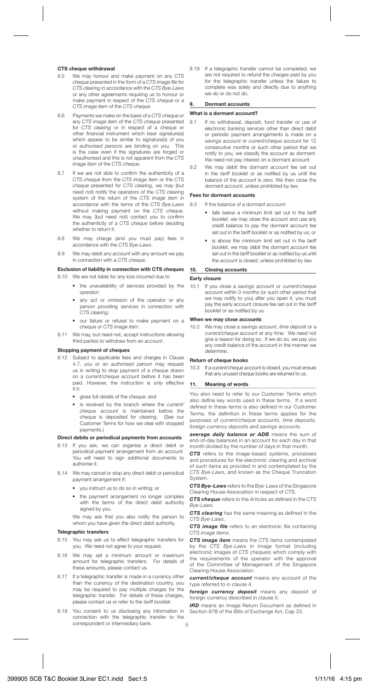## **CTS cheque withdrawal**<br>8.5 Me may bonour an

- We may honour and make payment on any CTS cheque presented in the form of a CTS image file for CTS clearing in accordance with the CTS Bye-Laws or any other agreements requiring us to honour or make payment in respect of the CTS cheque or a CTS image item of the CTS cheque.
- 8.6 Payments we make on the basis of a CTS cheque or any CTS image item of the CTS cheque presented for CTS clearing or in respect of a cheque or other financial instrument which bear signature(s) which appear to be similar to signature(s) of you or authorised persons are binding on you. This is the case even if the signatures are forged or unauthorised and this is not apparent from the CTS image item of the CTS cheque.
- 8.7 If we are not able to confirm the authenticity of a CTS cheque from the CTS image item or the CTS cheque presented for CTS clearing, we may (but need not) notify the operators of the CTS clearing system of the return of the CTS image item in accordance with the terms of the CTS Bye-Laws without making payment on the CTS cheque. We may (but need not) contact you to confirm the authenticity of a CTS cheque before deciding whether to return it.
- 8.8 We may charge (and you must pay) fees in accordance with the CTS Bye-Laws.
- 8.9 We may debit any account with any amount we pay in connection with a CTS cheque.

#### **Exclusion of liability in connection with CTS cheques**

- 8.10 We are not liable for any loss incurred due to
	- the unavailability of services provided by the operator;
	- any act or omission of the operator or any person providing services in connection with CTS clearing;
	- our failure or refusal to make payment on a cheque or CTS image item.
- 8.11 We may, but need not, accept instructions allowing third parties to withdraw from an account.

#### **Stopping payment of cheques**

- 8.12 Subject to applicable fees and charges in Clause 4.7, you or an authorised person may request us in writing to stop payment of a cheque drawn on a current/cheque account before it has been paid. However, the instruction is only effective if it:
	- gives full details of the cheque; and
	- is received by the branch where the current/ cheque account is maintained before the cheque is deposited for clearing. (See our Customer Terms for how we deal with stopped payments.)

#### **Direct debits or periodical payments from accounts**

- 8.13 If you ask, we can organise a direct debit or periodical payment arrangement from an account. You will need to sign additional documents to authorise it.
- 8.14 We may cancel or stop any direct debit or periodical payment arrangement if:
	- you instruct us to do so in writing; or
	- the payment arrangement no longer complies with the terms of the direct debit authority signed by you.

 We may ask that you also notify the person to whom you have given the direct debit authority.

#### **Telegraphic transfers**

- 8.15 You may ask us to effect telegraphic transfers for you. We need not agree to your request.
- 8.16 We may set a minimum amount or maximum amount for telegraphic transfers. For details of these amounts, please contact us.
- 8.17 If a telegraphic transfer is made in a currency other than the currency of the destination country, you may be required to pay multiple charges for the telegraphic transfer. For details of these charges, please contact us or refer to the tariff booklet.
- 8.18 You consent to us disclosing any information in connection with the telegraphic transfer to the correspondent or intermediary bank.

8.19 If a telegraphic transfer cannot be completed, we are not required to refund the charges paid by you for the telegraphic transfer unless the failure to complete was solely and directly due to anything we do or do not do.

#### **9. Dormant accounts**

#### **What is a dormant account?**

- 9.1 If no withdrawal, deposit, fund transfer or use of electronic banking services other than direct debit or periodic payment arrangements is made on a savings account or current/cheque account for 12 consecutive months or such other period that we notify to you, we classify the account as dormant. We need not pay interest on a dormant account.
- 9.2 We may debit the dormant account fee set out in the tariff booklet or as notified by us until the balance of the account is zero. We then close the dormant account, unless prohibited by law.

### **Fees for dormant accounts**

9.3 If the balance of a dormant account:

- falls below a minimum limit set out in the tariff booklet, we may close the account and use any credit balance to pay the dormant account fee set out in the tariff booklet or as notified by us; or
- is above the minimum limit set out in the tariff booklet, we may debit the dormant account fee set out in the tariff booklet or as notified by us until the account is closed, unless prohibited by law.

#### **10. Closing accounts**

#### **Early closure**

10.1 If you close a savings account or current/cheque account within 3 months (or such other period that we may notify to you) after you open it, you must pay the early account closure fee set out in the tariff booklet or as notified by us.

## **When we may close accounts**

10.2 We may close a savings account, time deposit or a current/cheque account at any time. We need not give a reason for doing so. If we do so, we pay you any credit balance of the account in the manner we determine.

## **Return of cheque books**

10.3 If a current/cheque account is closed, you must ensure that any unused cheque books are returned to us.

#### **11. Meaning of words**

You also need to refer to our Customer Terms which also define key words used in these terms. If a word defined in these terms is also defined in our Customer Terms, the definition in these terms applies for the purposes of current/cheque accounts, time deposits, foreign currency deposits and savings accounts.

*average daily balance or ADB* means the sum of end-of-day balances in an account for each day in that month divided by the number of days in that month.

*CTS* refers to the image-based systems, processes and procedures for the electronic clearing and archival of such items as provided in and contemplated by the CTS Bye-Laws, and known as the Cheque Truncation System.

*CTS Bye-Laws* refers to the Bye-Laws of the Singapore Clearing House Association in respect of CTS.

**CTS cheque** refers to the Articles as defined in the CTS Bye-Laws.

**CTS clearing** has the same meaning as defined in the CTS Bye-Laws.

**CTS image file** refers to an electronic file containing CTS image items.

*CTS image item* means the CTS items contemplated by the CTS Bye-Laws in image format (including electronic images of CTS cheques) which comply with the requirements of the operator with the approval of the Committee of Management of the Singapore Clearing House Association.

*current/cheque account* means any account of the type referred to in clause 4.

*foreign currency deposit* means any deposit of foreign currency described in clause 5.

*IRD* means an Image Return Document as defined in Section 87B of the Bills of Exchange Act, Cap 23.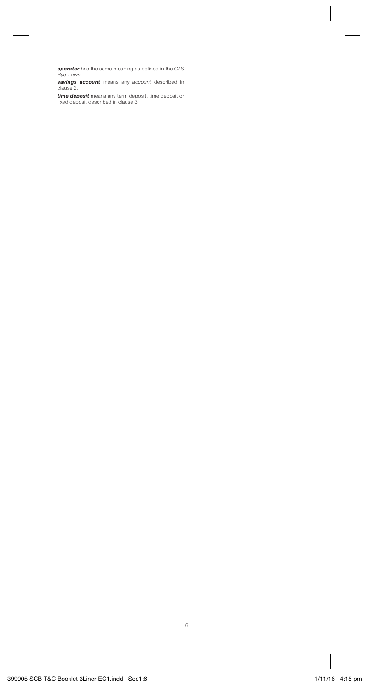**operator** has the same meaning as defined in the CTS<br>*Bye-Laws*.

*savings account* means any account described in clause 2.

**time deposit** means any term deposit, time deposit or<br>fixed deposit described in clause 3.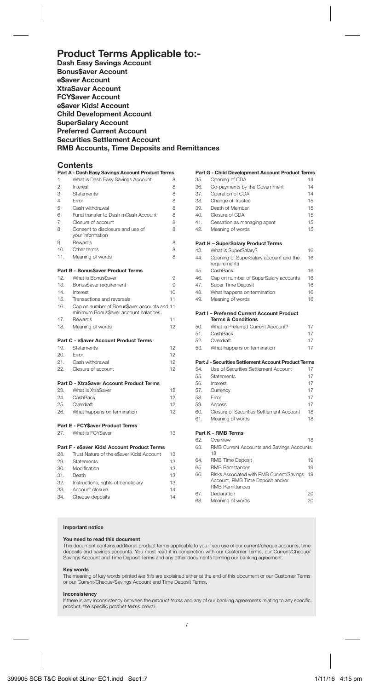## **Product Terms Applicable to:-**

**Dash Easy Savings Account Bonus\$aver Account e\$aver Account XtraSaver Account FCY\$aver Account e\$aver Kids! Account Child Development Account SuperSalary Account Preferred Current Account Securities Settlement Account RMB Accounts, Time Deposits and Remittances**

## **Contents**

|            | Part A - Dash Easy Savings Account Product Terms                                     |          |
|------------|--------------------------------------------------------------------------------------|----------|
| 1.         | What is Dash Easy Savings Account                                                    | 8        |
| 2.         | Interest                                                                             | 8        |
| 3.         | Statements                                                                           | 8        |
| 4.         | Frror                                                                                | 8        |
| 5.         | Cash withdrawal                                                                      | 8        |
| 6.         | Fund transfer to Dash mCash Account                                                  | 8        |
| 7.         | Closure of account                                                                   | 8        |
| 8.         | Consent to disclosure and use of<br>vour information                                 | 8        |
| 9.         | Rewards                                                                              | 8        |
| 10.        | Other terms                                                                          | 8        |
| 11.        | Meaning of words                                                                     | 8        |
|            | Part B - Bonus\$aver Product Terms                                                   |          |
| 12.        | What is Bonus\$aver                                                                  | 9        |
| 13.        | Bonus\$aver requirement                                                              | 9        |
| 14.        | Interest                                                                             | 10       |
| 15.        | Transactions and reversals                                                           | 11       |
| 16.        | Cap on number of Bonus\$aver accounts and 11<br>minimum Bonus\$aver account balances |          |
| 17.        | Rewards                                                                              | 11       |
| 18.        | Meaning of words                                                                     | 12       |
|            | Part C - e\$aver Account Product Terms                                               |          |
| 19.        | <b>Statements</b>                                                                    | 12       |
| 20.        | Error                                                                                | 12       |
| 21.        | Cash withdrawal                                                                      | 12       |
| 22.        | Closure of account                                                                   | 12       |
|            | Part D - XtraSaver Account Product Terms                                             |          |
| 23.        | What is XtraSaver                                                                    | 12       |
| 24.<br>25. | CashBack                                                                             | 12       |
|            |                                                                                      |          |
|            | Overdraft                                                                            | 12       |
| 26.        | What happens on termination                                                          | 12       |
|            | <b>Part E - FCYSaver Product Terms</b>                                               |          |
| 27.        | What is FCY\$aver                                                                    | 13       |
|            | Part F - e\$aver Kids! Account Product Terms                                         |          |
| 28.        | Trust Nature of the e\$aver Kids! Account                                            | 13       |
| 29.        | Statements                                                                           | 13       |
| 30.        | Modification                                                                         | 13       |
| 31.        | Death                                                                                | 13       |
| 32.        | Instructions, rights of beneficiary                                                  | 13       |
| 33.<br>34. | Account closure<br>Cheque deposits                                                   | 14<br>14 |

|     | Part G - Child Development Account Product Terms                                                        |    |
|-----|---------------------------------------------------------------------------------------------------------|----|
| 35. | Opening of CDA                                                                                          | 14 |
| 36. | Co-payments by the Government                                                                           | 14 |
| 37. | Operation of CDA                                                                                        | 14 |
| 38. | Change of Trustee                                                                                       | 15 |
| 39. | Death of Member                                                                                         | 15 |
| 40. | Closure of CDA                                                                                          | 15 |
| 41. | Cessation as managing agent                                                                             | 15 |
| 42. | Meaning of words                                                                                        | 15 |
|     | Part H - SuperSalary Product Terms                                                                      |    |
| 43. | What is SuperSalary?                                                                                    | 16 |
| 44. | Opening of SuperSalary account and the<br>requirements                                                  | 16 |
| 45. | CashBack                                                                                                | 16 |
| 46. | Cap on number of SuperSalary accounts                                                                   | 16 |
| 47. | Super Time Deposit                                                                                      | 16 |
| 48. | What happens on termination                                                                             | 16 |
| 49. | Meaning of words                                                                                        | 16 |
|     | <b>Part I-Preferred Current Account Product</b><br><b>Terms &amp; Conditions</b>                        |    |
| 50. | What is Preferred Current Account?                                                                      | 17 |
| 51. | CashBack                                                                                                | 17 |
| 52. | Overdraft                                                                                               | 17 |
| 53. | What happens on termination                                                                             | 17 |
|     | Part J - Securities Settlement Account Product Terms                                                    |    |
| 54. | Use of Securities Settlement Account                                                                    | 17 |
| 55. | Statements                                                                                              | 17 |
| 56. | Interest                                                                                                | 17 |
| 57. | Currency                                                                                                | 17 |
| 58. | Error                                                                                                   | 17 |
| 59. | Access                                                                                                  | 17 |
| 60. | Closure of Securities Settlement Account                                                                | 18 |
| 61. | Meaning of words                                                                                        | 18 |
|     | Part K - RMB Terms                                                                                      |    |
| 62. | Overview                                                                                                | 18 |
| 63. | RMB Current Accounts and Savings Accounts<br>18                                                         |    |
| 64. | <b>RMB Time Deposit</b>                                                                                 | 19 |
| 65. | <b>RMB Remittances</b>                                                                                  | 19 |
| 66. | Risks Associated with RMB Current/Savings<br>Account, RMB Time Deposit and/or<br><b>RMB Remittances</b> | 19 |
| 67. | Declaration                                                                                             | 20 |

68. Meaning of words 20

## **Important notice**

## **You need to read this document**

This document contains additional product terms applicable to you if you use of our current/cheque accounts, time deposits and savings accounts. You must read it in conjunction with our Customer Terms, our Current/Cheque/ Savings Account and Time Deposit Terms and any other documents forming our banking agreement.

#### **Key words**

The meaning of key words printed like this are explained either at the end of this document or our Customer Terms or our Current/Cheque/Savings Account and Time Deposit Terms.

#### **Inconsistency**

If there is any inconsistency between the product terms and any of our banking agreements relating to any specific product, the specific product terms prevail.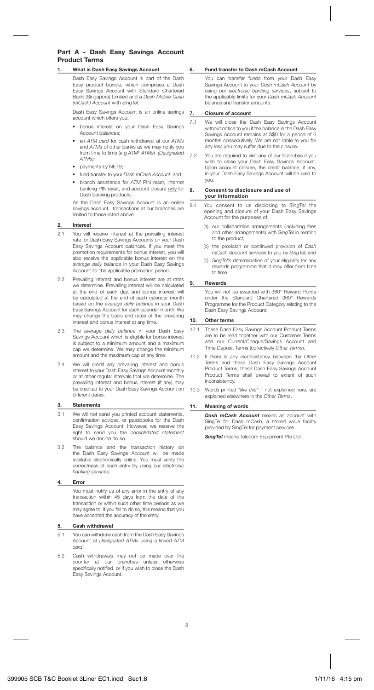## **Part A - Dash Easy Savings Account Product Terms**

#### **1. What is Dash Easy Savings Account**

 Dash Easy Savings Account is part of the Dash Easy product bundle, which comprises a Dash Easy Savings Account with Standard Chartered Bank (Singapore) Limited and a Dash Mobile Cash (mCash) Account with SingTel.

 Dash Easy Savings Account is an online savings account which offers you:

- bonus interest on your Dash Easy Savings Account balances;
- an ATM card for cash withdrawal at our ATMs and ATMs of other banks as we may notify you from time to time (e.g ATM<sup>5</sup> ATMs) (Designated  $ATM$ s);
- navments by NFTS:
- fund transfer to your Dash mCash Account; and
- branch assistance for ATM PIN reset, internet banking PIN reset, and account closure only for Dash banking products.

 As the Dash Easy Savings Account is an online savings account, transactions at our branches are limited to those listed above.

#### **2. Interest**

- 2.1 You will receive interest at the prevailing interest rate for Dash Easy Savings Accounts on your Dash Easy Savings Account balances. If you meet the promotion requirements for bonus interest, you will also receive the applicable bonus interest on the average daily balance in your Dash Easy Savings Account for the applicable promotion period.
- 2.2 Prevailing interest and bonus interest are at rates we determine. Prevailing interest will be calculated at the end of each day, and bonus interest will be calculated at the end of each calendar month based on the *average daily balance* in your Dash Easy Savings Account for each calendar month. We may change the basis and rates of the prevailing interest and bonus interest at any time.
- 2.3 The average daily balance in your Dash Easy Savings Account which is eligible for bonus interest is subject to a minimum amount and a maximum cap we determine. We may change the minimum amount and the maximum cap at any time.
- 2.4 We will credit any prevailing interest and bonus interest to your Dash Easy Savings Account monthly or at other regular intervals that we determine. The prevailing interest and bonus interest (if any) may be credited to your Dash Easy Savings Account on different dates.

#### **3. Statements**

- 3.1 We will not send you printed account statements, confirmation advices, or passbooks for the Dash Easy Savings Account. However, we reserve the right to send you the consolidated statement should we decide do so.
- 3.2 The balance and the transaction history on the Dash Easy Savings Account will be made available electronically online. You must verify the correctness of each entry by using our electronic banking services.

#### **4. Error**

 You must notify us of any error in the entry of any transaction within 45 days from the date of the transaction or within such other time periods as we may agree to. If you fail to do so, this means that you have accepted the accuracy of the entry.

## **5. Cash withdrawal**

- 5.1 You can withdraw cash from the Dash Easy Savings Account at Designated ATMs using a linked ATM card.
- 5.2 Cash withdrawals may not be made over the counter at our branches unless otherwise specifically notified, or if you wish to close the Dash Easy Savings Account.

#### **6. Fund transfer to Dash mCash Account**

 You can transfer funds from your Dash Easy Savings Account to your Dash mCash Account by using our electronic banking services, subject to the applicable limits for your Dash mCash Account balance and transfer amounts.

#### **7. Closure of account**

- 7.1 We will close the Dash Easy Savings Account without notice to you if the balance in the Dash Easy Savings Account remains at S\$0 for a period of 6 months consecutively. We are not liable to you for any loss you may suffer due to the closure.
- 7.2 You are required to visit any of our branches if you wish to close your Dash Easy Savings Account. Upon account closure, the credit balance, if any, in your Dash Easy Savings Account will be paid to you.

#### **8. Consent to disclosure and use of your information**

- 8.1 You consent to us disclosing to SingTel the opening and closure of your Dash Easy Savings Account for the purposes of:
	- (a) our collaboration arrangements (including fees and other arrangements) with SingTel in relation to the product;
	- (b) the provision or continued provision of Dash mCash Account services to you by SingTel; and
	- (c) SingTel's determination of your eligibility for any rewards programme that it may offer from time to time.

#### **9. Rewards**

You will not be awarded with 360° Reward Points under the Standard Chartered 360° Rewards Programme for the Product Category relating to the Dash Easy Savings Account.

#### **10. Other terms**

- 10.1 These Dash Easy Savings Account Product Terms are to be read together with our Customer Terms and our Current/Cheque/Savings Account and Time Deposit Terms (collectively Other Terms).
- 10.2 If there is any inconsistency between the Other Terms and these Dash Easy Savings Account Product Terms, these Dash Easy Savings Account Product Terms shall prevail to extent of such inconsistency.
- 10.3 Words printed "like this" if not explained here, are explained elsewhere in the Other Terms.

#### **11. Meaning of words**

*Dash mCash Account* means an account with SingTel for Dash mCash, a stored value facility provided by SingTel for payment services.

*SingTel* means Telecom Equipment Pte Ltd.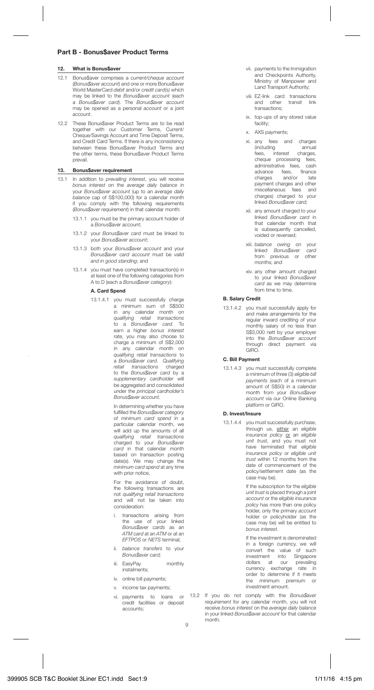## **Part B - Bonus\$aver Product Terms**

#### **12. What is Bonus\$aver**

- 12.1 Bonus\$aver comprises a current/cheque account (Bonus\$aver account) and one or more Bonus\$aver World MasterCard debit and/or credit card(s) which may be linked to the Bonus\$aver account (each a Bonus\$aver card). The Bonus\$aver account may be opened as a personal account or a joint account.
- 12.2 These Bonus\$aver Product Terms are to be read together with our Customer Terms, Current/ Cheque/Savings Account and Time Deposit Terms, and Credit Card Terms. If there is any inconsistency between these Bonus\$aver Product Terms and the other terms, these Bonus\$aver Product Terms prevail.

#### **13. Bonus\$aver requirement**

- 13.1 In addition to *prevailing interest*, you will receive bonus interest on the average daily balance in your Bonus\$aver account (up to an average daily balance cap of S\$100,000) for a calendar month if you comply with the following requirements (Bonus\$aver requirement) in that calendar month:
	- 13.1.1 you must be the primary account holder of a Bonus\$aver account;
	- 13.1.2 your Bonus\$aver card must be linked to ,<br>vour Bonus\$aver account:
	- 13.1.3 both your Bonus\$aver account and your Bonus\$aver card account must be valid and in good standing; and
	- 13.1.4 you must have completed transaction(s) in at least one of the following categories from A to D (each a Bonus\$aver category):

#### **A. Card Spend**

13.1.4.1 you must successfully charge a minimum sum of S\$500 in any calendar month on qualifying retail transactions to a Bonus\$aver card. To earn a higher bonus interest rate, you may also choose to charge a minimum of S\$2,000 in any calendar month on qualifying retail transactions to a Bonus\$aver card. Qualifying retail transactions charged to the Bonus\$aver card by a supplementary cardholder will be aggregated and consolidated under the principal cardholder's Bonus\$aver account.

> In determining whether you have fulfilled the Bonus\$aver category of minimum card spend in a particular calendar month, we will add up the amounts of all qu*alifying retail transactions*<br>charged to your *Bonus\$aver*<br>*card* in that calendar month based on transaction posting date(s). We may change the minimum card spend at any time with prior notice

For the avoidance of doubt, the following transactions are not qualifying retail transactions and will not be taken into consideration:

- i. transactions arising from the use of your linked Bonus\$aver cards as an ATM card at an ATM or at an EFTPOS or NETS terminal;
- ii. balance transfers to your Bonus\$aver card;
- iii. EasyPay monthly instalments;
- iv. online bill payments;
- v. income tax payments;
- credit facilities or deposit accounts;
- vii. payments to the Immigration and Checkpoints Authority, Ministry of Manpower and Land Transport Authority;
- viii. EZ-link card transactions and other transit link transactions;
- ix. top-ups of any stored value facility;
- x. AXS payments;
- xi. any fees and charges (including annual fees, interest charges, cheque processing fees,<br>administrative fees, cash administrative fees, advance fees, finance<br>charges and/or late payment charges and other miscellaneous fees and charges) charged to your linked Bonus\$aver card;
- xii. any amount charged to your linked Bonus\$aver card in that calendar month that is subsequently cancelled, voided or reversed;
- xiii. *balance owing* on your<br>linked *Bonus\$aver card*<br>from previous or other months; and
- xiv. any other amount charged to your linked Bonus\$aver card as we may determine from time to time.

## **B. Salary Credit**

13.1.4.2 you must successfully apply for and make arrangements for the regular inward crediting of your monthly salary of no less than S\$3,000 nett by your employer into the Bonus\$aver account through direct payment via GIRO.

#### **C. Bill Payment**

13.1.4.3 you must successfully complete a minimum of three (3) eligible bill payments (each of a minimum amount of S\$50) in a calendar month from your Bonus\$aver account via our Online Banking platform or GIRO.

#### **D. Invest/Insure**

13.1.4.4 you must successfully purchase, through us, either an eligible insurance policy or an eligible unit trust, and you must not have terminated that eligible insurance policy or eligible unit trust within 12 months from the date of commencement of the policy/settlement date (as the case may be).

> If the subscription for the eligible unit trust is placed through a joint and a count or the eligible insurance policy has more than one policy holder, only the primary account holder or policyholder (as the case may be) will be entitled to bonus interest.

 If the investment is denominated in a foreign currency, we will convert the value of such investment into Singapore dollars at our prevailing currency exchange rate in order to determine if it meets the minimum premium or investment amount.

vi. payments to loans or 13.2 If you do not comply with the Bonus\$aver requirement for any calendar month, you will not receive bonus interest on the average daily balance in your linked Bonus\$aver account for that calendar month.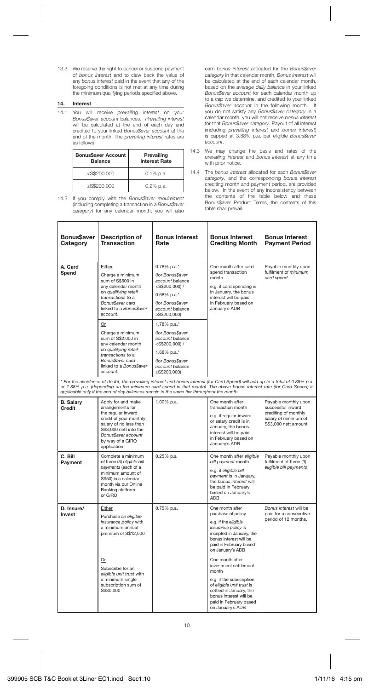13.3 We reserve the right to cancel or suspend payment of bonus interest and to claw back the value of any bonus interest paid in the event that any of the foregoing conditions is not met at any time during the minimum qualifying periods specified above.

#### **14. Interest**

14.1 You will receive prevailing interest on your Bonus\$aver account balances. Prevailing interest will be calculated at the end of each day and credited to your linked Bonus\$aver account at the end of the month. The prevailing interest rates are as follows:

| Bonus\$aver Account<br><b>Balance</b> | Prevailing<br><b>Interest Rate</b> |
|---------------------------------------|------------------------------------|
| $<$ S\$200.000                        | $0.1\%$ p.a.                       |
| ≥S\$200.000                           | $0.2\%$ p.a.                       |

14.2 If you comply with the Bonus\$aver requirement (including completing a transaction in a Bonus\$aver category) for any calendar month, you will also

٦

earn bonus interest allocated for the Bonus\$aver category in that calendar month. Bonus interest will be calculated at the end of each calendar month, based on the average daily balance in your linked Bonus\$aver account for each calendar month up to a cap we determine, and credited to your linked Bonus\$aver account in the following month. If you do not satisfy any Bonus\$aver category in a calendar month, you will not receive bonus interest for that Bonus\$aver category. Payout of all interest (including prevailing interest and bonus interest) is capped at 3.88% p.a. per eligible Bonus\$aver account.

- 14.3 We may change the basis and rates of the prevailing interest and bonus interest at any time with prior notice.
- 14.4 The bonus interest allocated for each Bonus\$aver category, and the corresponding bonus interest crediting month and payment period, are provided below. In the event of any inconsistency between the contents of the table below and these Bonus\$aver Product Terms, the contents of this table shall prevail.

T

h

Ť

| Bonus\$aver<br>Category    | Description of<br>Transaction                                                                                                                                                                                                                                              | <b>Bonus Interest</b><br>Rate                                                                                                                                                                                                                                                                                                                      | <b>Bonus Interest</b><br><b>Crediting Month</b>                                                                                                                                                               | <b>Bonus Interest</b><br><b>Payment Period</b>                                                                    |
|----------------------------|----------------------------------------------------------------------------------------------------------------------------------------------------------------------------------------------------------------------------------------------------------------------------|----------------------------------------------------------------------------------------------------------------------------------------------------------------------------------------------------------------------------------------------------------------------------------------------------------------------------------------------------|---------------------------------------------------------------------------------------------------------------------------------------------------------------------------------------------------------------|-------------------------------------------------------------------------------------------------------------------|
| A. Card<br>Spend           | Either<br>Charge a minimum<br>sum of S\$500 in<br>any calendar month<br>on qualifying retail<br>transactions to a<br>Bonus\$aver card<br>linked to a Bonus\$aver<br>account.<br>Or<br>Charge a minimum<br>sum of S\$2,000 in<br>any calendar month<br>on qualifying retail | 0.78% p.a.*<br>(for Bonus\$aver<br>account balance<br>$<$ S\$200.000) /<br>$0.68\%$ p.a.*<br>(for Bonus\$aver<br>account balance<br>≥S\$200.000)<br>1.78% p.a.*<br>(for Bonus\$aver<br>account balance<br>$<$ S\$200.000) /<br>1.68% p.a.*                                                                                                         | One month after card<br>spend transaction<br>month<br>e.g. if card spending is<br>in January, the bonus<br>interest will be paid<br>in February based on<br>January's ADB                                     | Payable monthly upon<br>fulfilment of minimum<br>card spend                                                       |
|                            | transactions to a<br>Bonus\$aver card<br>linked to a Bonus\$aver<br>account.                                                                                                                                                                                               | (for Bonus\$aver<br>account balance<br>≥S\$200,000)                                                                                                                                                                                                                                                                                                |                                                                                                                                                                                                               |                                                                                                                   |
|                            |                                                                                                                                                                                                                                                                            | * For the avoidance of doubt, the prevailing interest and bonus interest (for Card Spend) will add up to a total of 0.88% p.a.<br>or 1.88% p.a. (depending on the minimum card spend in that month). The above bonus interest rate (for Card Spend) is<br>applicable only if the end of day balances remain in the same tier throughout the month. |                                                                                                                                                                                                               |                                                                                                                   |
| <b>B.</b> Salarv<br>Credit | Apply for and make<br>arrangements for<br>the regular inward<br>credit of your monthly<br>salary of no less than<br>S\$3,000 nett into the<br>Bonus\$aver account<br>by way of a GIRO<br>application                                                                       | 1.00% p.a.                                                                                                                                                                                                                                                                                                                                         | One month after<br>transaction month<br>e.g. if regular inward<br>or salary credit is in<br>January, the bonus<br>interest will be paid<br>in February based on<br>January's ADB                              | Payable monthly upon<br>successful inward<br>crediting of monthly<br>salary of minimum of<br>S\$3,000 nett amount |
| C. Bill<br>Payment         | Complete a minimum<br>of three (3) eligible bill<br>payments (each of a<br>minimum amount of<br>S\$50) in a calendar<br>month via our Online<br>Banking platform<br>or GIRO                                                                                                | $0.25%$ p.a                                                                                                                                                                                                                                                                                                                                        | One month after eligible<br>bill payment month<br>e.g. if eligible bill<br>payment is in January,<br>the bonus interest will<br>be paid in February<br>based on January's<br><b>ADB</b>                       | Payable monthly upon<br>fulfilment of three (3)<br>eligible bill payments                                         |
| D. Insure/<br>Invest       | Either<br>Purchase an eligible<br>insurance policy with<br>a minimum annual<br>premium of S\$12,000                                                                                                                                                                        | 0.75% p.a.                                                                                                                                                                                                                                                                                                                                         | One month after<br>purchase of policy<br>e.g. if the eligible<br>insurance policy is<br>incepted in January, the<br>bonus interest will be<br>paid in February based<br>on January's ADB                      | <b>Bonus interest will be</b><br>paid for a consecutive<br>period of 12 months.                                   |
|                            | Or<br>Subscribe for an<br>eligible unit trust with<br>a minimum single<br>subscription sum of<br>S\$30.000                                                                                                                                                                 |                                                                                                                                                                                                                                                                                                                                                    | One month after<br>investment settlement<br>month<br>e.g. if the subscription<br>of eligible unit trust is<br>settled in January, the<br>bonus interest will be<br>paid in February based<br>on January's ADB |                                                                                                                   |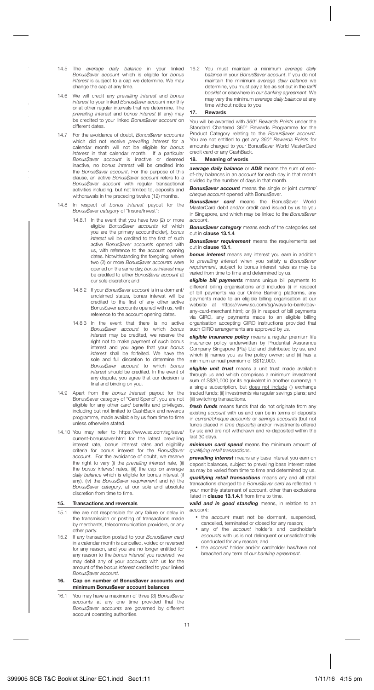- 14.5 The average daily balance in your linked The average daily build to the south more account which is eligible for bonus interest is subject to a cap we determine. We may change the cap at any time.
- 14.6 We will credit any prevailing interest and bonus interest to your linked Bonus\$aver account monthly or at other regular intervals that we determine. The prevailing interest and bonus interest (if any) may be credited to your linked Bonus\$aver account on different dates.
- 14.7 For the avoidance of doubt, Bonus\$aver accounts<br>which did not receive prevailing interest for a which did not receive *prevailing interest* for a<br>calendar month will not be eligible for *bonus* interest in that calendar month. If a particular Bonus\$aver account is inactive or deemed inactive, no bonus interest will be credited into the Bonus\$aver account. For the purpose of this clause, an active Bonus\$aver account refers to a Bonus\$aver account with regular transactional activities including, but not limited to, deposits and withdrawals in the preceding twelve (12) months.
- 14.8 In respect of bonus interest payout for the Bonus\$aver category of "Insure/Invest":
	- 14.8.1 In the event that you have two (2) or more eligible *Bonus\$aver accounts (*of which<br>you are the primary accountholder), *bonus* interest will be credited to the first of such active Bonus\$aver accounts opened with us, with reference to the account opening dates. Notwithstanding the foregoing, where two (2) or more Bonus\$aver accounts were opened on the same day, bonus interest may be credited to either Bonus\$aver account at our sole discretion; and
	- 14.8.2 If your Bonus\$aver account is in a dormant/ unclaimed status, bonus interest will be credited to the first of any other active Bonus\$aver accounts opened with us, with reference to the account opening dates.
	- 14.8.3 In the event that there is no active Bonus\$aver account to which bonus interest may be credited, we reserve the right not to make payment of such bonus interest and you agree that your bonus interest shall be forfeited. We have the sole and full discretion to determine the Bonus\$aver account to which bonus interest should be credited. In the event of any dispute, you agree that our decision is final and binding on you.
- 14.9 Apart from the bonus interest payout for the Bonus\$aver category of "Card Spend", you are not eligible for any other card benefits and privileges, including but not limited to CashBack and rewards programme, made available by us from time to time unless otherwise stated.
- 14.10 You may refer to https://www.sc.com/sg/save/ current-bonussaver.html for the latest prevailing interest rate, bonus interest rates and eligibility criteria for bonus interest for the Bonus\$aver account. For the avoidance of doubt, we reserve the right to vary (i) the *prevailing interest* rate, (ii) the bonus interest rates, (iii) the cap on average daily balance which is eligible for bonus interest (if any), statistic which is eigene for sense increasing Bonus\$aver category, at our sole and absolute discretion from time to time.

#### **15. Transactions and reversals**

- 15.1 We are not responsible for any failure or delay in the transmission or posting of transactions made by merchants, telecommunication providers, or any other party.
- 15.2 If any transaction posted to your Bonus\$aver card in a calendar month is cancelled, voided or reversed for any reason, and you are no longer entitled for any reason to the bonus interest you received, we may debit any of your accounts with us for the amount of the *bonus interest* credited to your linked Bonus\$aver account.

#### **16. Cap on number of Bonus\$aver accounts and minimum Bonus\$aver account balances**

16.1 You may have a maximum of three (3) Bonus\$aver accounts at any one time provided that the Bonus\$aver accounts are governed by different account operating authorities.

16.2 You must maintain a minimum average daily balance in your Bonus\$aver account. If you do not maintain the minimum average daily balance we determine, you must pay a fee as set out in the tariff booklet or elsewhere in our banking agreement. We may vary the minimum average daily balance at any time without notice to you.

#### **17. Rewards**

You will be awarded with 360° Rewards Points under the Standard Chartered 360° Rewards Programme for the Product Category relating to the Bonus\$aver account. You are not entitled to get any 360° Rewards Points for amounts charged to your Bonus\$aver World MasterCard credit card or any CashBack.

#### **18. Meaning of words**

*average daily balance* or *ADB* means the sum of endof-day balances in an account for each day in that month divided by the number of days in that month.

*Bonus\$aver account* means the single or joint current/ cheque account opened with Bonus\$aver.

*Bonus\$aver card* means the Bonus\$aver World MasterCard debit and/or credit card issued by us to you in Singapore, and which may be linked to the Bonus\$aver account.

*Bonus\$aver category* means each of the categories set out in **clause 13.1.4**.

*Bonus\$aver requirement* means the requirements set out in **clause 13.1**.

*bonus interest* means any interest you earn in addition to prevailing interest when you satisfy a Bonus\$aver requirement, subject to bonus interest rates as may be varied from time to time and determined by us.

*eligible bill payments* means unique bill payments to different billing organisations and includes (i) in respect of bill payments via our Online Banking platforms, any payments made to an eligible billing organisation at our website at https://www.sc.com/sg/ways-to-bank/payany-card-merchant.html; or (ii) in respect of bill payments via GIRO, any payments made to an eligible billing organisation accepting GIRO instructions provided that such GIRO arrangements are approved by us.

*eligible insurance policy* means a regular premium life insurance policy underwritten by Prudential Assurance Company Singapore (Pte) Ltd and distributed by us, and which (i) names you as the policy owner; and (ii) has a minimum annual premium of S\$12,000.

*eligible unit trust* means a unit trust made available through us and which comprises a minimum investment sum of S\$30,000 (or its equivalent in another currency) in a single subscription, but does not include (i) exchange traded funds; (ii) investments via regular savings plans; and (iii) switching transactions.

*fresh funds* means funds that do not originate from any existing account with us and can be in terms of deposits in current/cheque accounts or savings accounts (but not funds placed in time deposits) and/or investments offered by us; and are not withdrawn and re-deposited within the last 30 days.

*minimum card spend* means the minimum amount of mmman vara upona mo

*prevailing interest* means any base interest you earn on deposit balances, subject to prevailing base interest rates as may be varied from time to time and determined by us.

*qualifying retail transactions* means any and all retail transactions charged to a Bonus\$aver card as reflected in your monthly statement of account, other than exclusions listed in **clause 13.1.4.1** from time to time.

*valid and in good standing* means, in relation to an account:

- the account must not be dormant, suspended cancelled, terminated or closed for any reason;
- any of the account holder's and cardholder's accounts with us is not delinquent or unsatisfactorily conducted for any reason; and
- the account holder and/or cardholder has/have not breached any term of our banking agreement.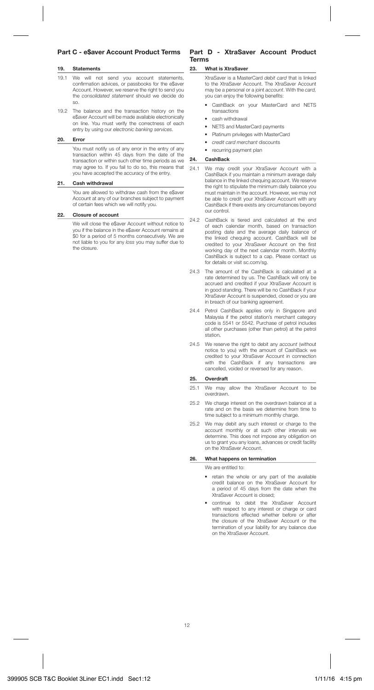## **Part C - e\$aver Account Product Terms**

#### **19. Statements**

- 19.1 We will not send you account statements, confirmation advices, or passbooks for the e\$aver Account. However, we reserve the right to send you the consolidated statement should we decide do so.
- 19.2 The balance and the transaction history on the e\$aver Account will be made available electronically on line. You must verify the correctness of each entry by using our electronic banking services.

#### **20. Error**

 You must notify us of any error in the entry of any transaction within 45 days from the date of the transaction or within such other time periods as we may agree to. If you fail to do so, this means that you have accepted the accuracy of the entry.

#### **21. Cash withdrawal**

 You are allowed to withdraw cash from the e\$aver Account at any of our branches subject to payment of certain fees which we will notify you.

#### **22. Closure of account**

We will close the e\$aver Account without notice to you if the balance in the e\$aver Account remains at \$0 for a period of 5 months consecutively. We are not liable to you for any loss you may suffer due to the closure.

## **Part D - XtraSaver Account Product Terms**

#### **23. What is XtraSaver**

 XtraSaver is a MasterCard debit card that is linked to the XtraSaver Account. The XtraSaver Account may be a personal or a joint *account*. With the *card*, you can enjoy the following benefits:

- CashBack on your MasterCard and NETS transactions
- cash withdrawal
- NETS and MasterCard payments
- Platinum privileges with MasterCard
- credit card merchant discounts
- recurring payment plan

#### **24. CashBack**

- 24.1 We may credit your XtraSaver Account with a CashBack if you maintain a minimum average daily balance in the linked chequing account. We reserve the right to stipulate the minimum daily balance you must maintain in the account. However, we may not be able to credit your XtraSaver Account with any CashBack if there exists any circumstances beyond our control.
- 24.2 CashBack is tiered and calculated at the end of each calendar month, based on transaction posting date and the average daily balance of the linked chequing account. CashBack will be credited to your XtraSaver Account on the first working day of the next calendar month. Monthly CashBack is subject to a cap. Please contact us for details or visit sc.com/sg.
- 24.3 The amount of the CashBack is calculated at a rate determined by us. The CashBack will only be accrued and credited if your XtraSaver Account is in good standing. There will be no CashBack if your XtraSaver Account is suspended, closed or you are in breach of our banking agreement.
- 24.4 Petrol CashBack applies only in Singapore and Malaysia if the petrol station's merchant category code is 5541 or 5542. Purchase of petrol includes all other purchases (other than petrol) at the petrol station.
- 24.5 We reserve the right to debit any account (without) notice to you) with the amount of CashBack we credited to your XtraSaver Account in connection with the CashBack if any transactions are cancelled, voided or reversed for any reason.

#### **25. Overdraft**

- 25.1 We may allow the XtraSaver Account to be overdrawn.
- 25.2 We charge interest on the overdrawn balance at a rate and on the basis we determine from time to time subject to a minimum monthly charge.
- 25.2 We may debit any such interest or charge to the account monthly or at such other intervals we determine. This does not impose any obligation on us to grant you any loans, advances or credit facility on the XtraSaver Account.

## **26. What happens on termination**

We are entitled to:

- retain the whole or any part of the available credit balance on the XtraSaver Account for a period of 45 days from the date when the XtraSaver Account is closed;
- continue to debit the XtraSaver Account with respect to any interest or charge or card transactions effected whether before or after the closure of the XtraSaver Account or the termination of your liability for any balance due on the XtraSaver Account.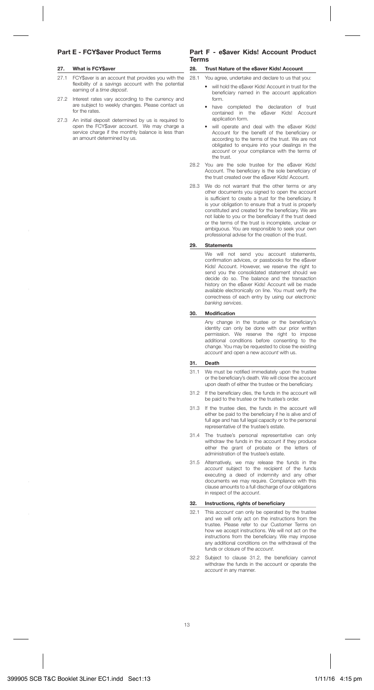## **Part E - FCY\$aver Product Terms**

#### **27. What is FCY\$aver**

- 27.1 FCY\$aver is an account that provides you with the flexibility of a savings account with the potential earning of a time deposit.
- 27.2 Interest rates vary according to the currency and are subject to weekly changes. Please contact us for the rates.
- 27.3 An initial deposit determined by us is required to open the FCY\$aver account. We may charge a service charge if the monthly balance is less than an amount determined by us.

## **Part F - e\$aver Kids! Account Product Terms**

#### **28. Trust Nature of the e\$aver Kids! Account**

28.1 You agree, undertake and declare to us that you:

- will hold the e\$aver Kids! Account in trust for the beneficiary named in the account application form.
- have completed the declaration of trust contained in the e\$aver Kids! Account application form.
- will operate and deal with the e\$aver Kids! Account for the benefit of the beneficiary or according to the terms of the trust. We are not obligated to enquire into your dealings in the account or your compliance with the terms of the trust.
- 28.2 You are the sole trustee for the e\$aver Kids! Account. The beneficiary is the sole beneficiary of the trust created over the e\$aver Kids! Account.
- 28.3 We do not warrant that the other terms or any other documents you signed to open the account is sufficient to create a trust for the beneficiary. It is your obligation to ensure that a trust is properly constituted and created for the beneficiary. We are not liable to you or the beneficiary if the trust deed or the terms of the trust is incomplete, unclear or ambiguous. You are responsible to seek your own professional advise for the creation of the trust.

#### **29. Statements**

 We will not send you account statements, confirmation advices, or passbooks for the e\$aver Kids! Account. However, we reserve the right to send you the consolidated statement should we decide do so. The balance and the transaction history on the e\$aver Kids! Account will be made available electronically on line. You must verify the correctness of each entry by using our electronic banking services.

#### **30. Modifi cation**

Any change in the trustee or the beneficiary's identity can only be done with our prior written permission. We reserve the right to impose additional conditions before consenting to the change. You may be requested to close the existing account and open a new account with us.

#### **31. Death**

- 31.1 We must be notified immediately upon the trustee or the beneficiary's death. We will close the account upon death of either the trustee or the beneficiary.
- 31.2 If the beneficiary dies, the funds in the account will be paid to the trustee or the trustee's order.
- 31.3 If the trustee dies, the funds in the account will either be paid to the beneficiary if he is alive and of full age and has full legal capacity or to the personal representative of the trustee's estate.
- 31.4 The trustee's personal representative can only withdraw the funds in the account if they produce either the grant of probate or the letters of administration of the trustee's estate.
- 31.5 Alternatively, we may release the funds in the account subject to the recipient of the funds executing a deed of indemnity and any other documents we may require. Compliance with this clause amounts to a full discharge of our obligations in respect of the account.

#### **32.** Instructions, rights of beneficiary

- 32.1 This *account* can only be operated by the trustee and we will only act on the instructions from the trustee. Please refer to our Customer Terms on how we accept instructions. We will not act on the instructions from the beneficiary. We may impose any additional conditions on the withdrawal of the funds or closure of the account.
- 32.2 Subject to clause 31.2, the benefi ciary cannot withdraw the funds in the account or operate the account in any manner.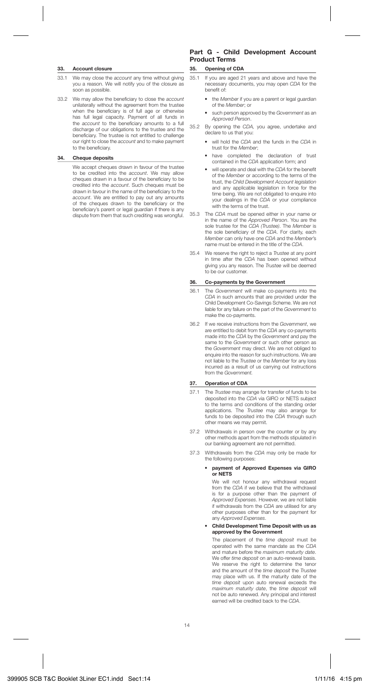#### **33. Account closure**

- 33.1 We may close the account any time without giving you a reason. We will notify you of the closure as soon as possible.
- 33.2 We may allow the beneficiary to close the account unilaterally without the agreement from the trustee when the beneficiary is of full age or otherwise has full legal capacity. Payment of all funds in the *account* to the beneficiary amounts to a full discharge of our obligations to the trustee and the beneficiary. The trustee is not entitled to challenge our right to close the account and to make payment to the beneficiary.

## **34. Cheque deposits**

We accept cheques drawn in favour of the trustee to be credited into the account. We may allow cheques drawn in a favour of the beneficiary to be credited into the account. Such cheques must be drawn in favour in the name of the beneficiary to the account. We are entitled to pay out any amounts of the cheques drawn to the beneficiary or the beneficiary's parent or legal guardian if there is any dispute from them that such crediting was wrongful.

## **Part G - Child Development Account Product Terms**

## **35. Opening of CDA**

- 35.1 If you are aged 21 years and above and have the necessary documents, you may open CDA for the benefit of
	- the Member if you are a parent or legal guardian of the Member; or
	- such person approved by the Government as an Approved Person.
- 35.2 By opening the CDA, you agree, undertake and declare to us that you:
	- will hold the CDA and the funds in the CDA in trust for the Member;
	- have completed the declaration of trust contained in the CDA application form; and
	- will operate and deal with the CDA for the benefit of the Member or according to the terms of the trust, the Child Development Account legislation and any applicable legislation in force for the time being. We are not obligated to enquire into your dealings in the CDA or your compliance with the terms of the trust.
- 35.3 The CDA must be opened either in your name or in the name of the Approved Person. You are the sole trustee for the CDA (Trustee). The Member is the sole beneficiary of the CDA. For clarity, each Member can only have one CDA and the Member's name must be entered in the title of the CDA.
- 35.4 We reserve the right to reject a Trustee at any point in time after the CDA has been opened without giving you any reason. The Trustee will be deemed to be our customer.

## **36. Co-payments by the Government**

- 36.1 The Government will make co-payments into the CDA in such amounts that are provided under the Child Development Co-Savings Scheme. We are not liable for any failure on the part of the Government to make the co-payments.
- 36.2 If we receive instructions from the Government, we are entitled to debit from the CDA any co-payments made into the CDA by the Government and pay the same to the Government or such other person as the Government may direct. We are not obliged to enquire into the reason for such instructions. We are not liable to the Trustee or the Member for any loss incurred as a result of us carrying out instructions from the Government.

## **37. Operation of CDA**

- 37.1 The Trustee may arrange for transfer of funds to be deposited into the CDA via GIRO or NETS subject to the terms and conditions of the standing order applications. The Trustee may also arrange for funds to be deposited into the CDA through such other means we may permit.
- 37.2 Withdrawals in person over the counter or by any other methods apart from the methods stipulated in our banking agreement are not permitted.
- 37.3 Withdrawals from the CDA may only be made for the following purposes:

#### • **payment of Approved Expenses via GIRO or NETS**

We will not honour any withdrawal request from the CDA if we believe that the withdrawal is for a purpose other than the payment of Approved Expenses. However, we are not liable if withdrawals from the CDA are utilised for any other purposes other than for the payment for any Approved Expenses.

#### • **Child Development Time Deposit with us as approved by the Government**

 The placement of the time deposit must be operated with the same mandate as the CDA and mature before the maximum maturity date. We offer time deposit on an auto-renewal basis. We reserve the right to determine the tenor and the amount of the time deposit the Trustee may place with us. If the maturity date of the time deposit upon auto renewal exceeds the maximum maturity date, the time deposit will not be auto renewed. Any principal and interest earned will be credited back to the CDA.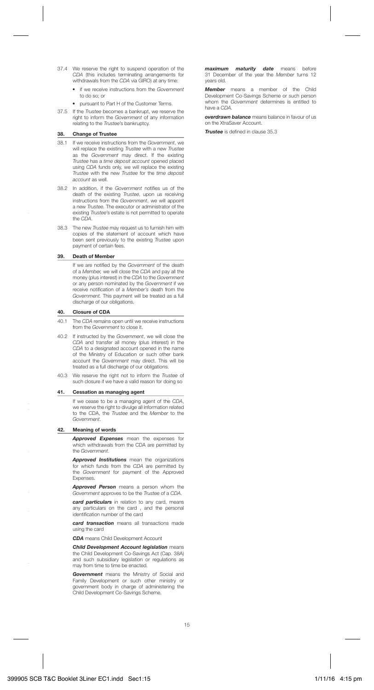- 37.4 We reserve the right to suspend operation of the CDA (this includes terminating arrangements for withdrawals from the CDA via GIRO) at any time:
	- if we receive instructions from the Government to do so; or
	- pursuant to Part H of the Customer Terms.
- 37.5 If the Trustee becomes a bankrupt, we reserve the right to inform the Government of any information relating to the Trustee's bankruptcy.

#### **38. Change of Trustee**

- 38.1 If we receive instructions from the Government, we will replace the existing Trustee with a new Trustee as the Government may direct. If the existing Trustee has a time deposit account opened placed using CDA funds only, we will replace the existing Trustee with the new Trustee for the time deposit account as well.
- 38.2 In addition, if the Government notifies us of the death of the existing Trustee, upon us receiving instructions from the Government, we will appoint a new Trustee. The executor or administrator of the existing Trustee's estate is not permitted to operate the CDA.
- 38.3 The new Trustee may request us to furnish him with copies of the statement of account which have been sent previously to the existing Trustee upon payment of certain fees.

#### **39. Death of Member**

If we are notified by the Government of the death of a Member, we will close the CDA and pay all the money (plus interest) in the CDA to the Government or any person nominated by the Government if we receive notification of a Member's death from the Government. This payment will be treated as a full discharge of our obligations.

## **40. Closure of CDA**

- 40.1 The CDA remains open until we receive instructions from the Government to close it.
- 40.2 If instructed by the Government, we will close the CDA and transfer all money (plus interest) in the CDA to a designated account opened in the name of the Ministry of Education or such other bank account the Government may direct. This will be treated as a full discharge of our obligations.
- 40.3 We reserve the right not to inform the Trustee of such closure if we have a valid reason for doing so

#### **41. Cessation as managing agent**

If we cease to be a managing agent of the CDA, we reserve the right to divulge all information related to the CDA, the Trustee and the Member to the Government.

#### **42. Meaning of words**

 *Approved Expenses* mean the expenses for which withdrawals from the CDA are permitted by the Government.

 *Approved Institutions* mean the organizations for which funds from the CDA are permitted by the Government for payment of the Approved Expenses.

 *Approved Person* means a person whom the Government approves to be the Trustee of a CDA.

 *card particulars* in relation to any card, means any particulars on the card , and the personal identification number of the card

 *card transaction* means all transactions made using the card

 *CDA* means Child Development Account

 *Child Development Account legislation* means the Child Development Co-Savings Act (Cap. 38A) and such subsidiary legislation or regulations as may from time to time be enacted.

 *Government* means the Ministry of Social and Family Development or such other ministry or government body in charge of administering the Child Development Co-Savings Scheme.

 *maximum maturity date* means before 31 December of the year the Member turns 12 years old.

> *Member* means a member of the Child Development Co-Savings Scheme or such person whom the Government determines is entitled to have a CDA.

> *overdrawn balance* means balance in favour of us on the XtraSaver Account.

*Trustee* is defined in clause 35.3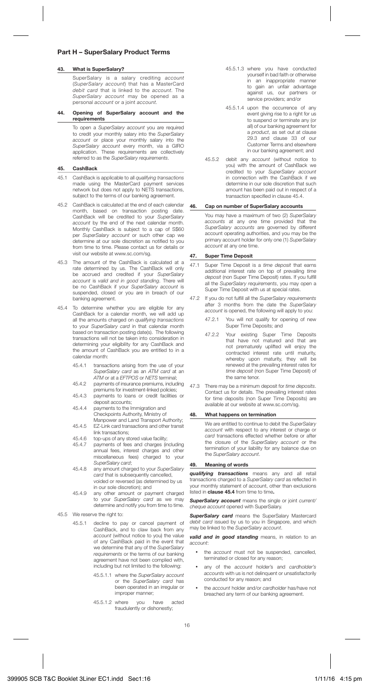## **Part H – SuperSalary Product Terms**

#### **43. What is SuperSalary?**

SuperSalary is a salary crediting account (SuperSalary account) that has a MasterCard debit card that is linked to the *account*. The SuperSalary account may be opened as a personal *account* or a joint *account*.

**44. Opening of SuperSalary account and the requirements**

> To open a SuperSalary account you are required to credit your monthly salary into the SuperSalary account or place your monthly salary into the SuperSalary account every month, via a GIRO application. These requirements are collectively referred to as the SuperSalary requirements.

## **45. CashBack**

- 45.1 CashBack is applicable to all qualifying transactions made using the MasterCard payment services network but does not apply to NETS transactions, subject to the terms of our banking agreement.
- 45.2 CashBack is calculated at the end of each calendar month, based on transaction posting date. CashBack will be credited to your SuperSalary account by the end of the next calendar month. Monthly CashBack is subject to a cap of S\$60 per SuperSalary account or such other cap we determine at our sole discretion as notified to you from time to time. Please contact us for details or visit our website at www.sc.com/sg.
- 45.3 The amount of the CashBack is calculated at a rate determined by us. The CashBack will only be accrued and credited if your SuperSalary account is valid and in good standing. There will be no CashBack if your SuperSalary account is suspended, closed or you are in breach of our banking agreement.
- 45.4 To determine whether you are eligible for any CashBack for a calendar month, we will add up all the amounts charged on qualifying transactions to your SuperSalary card in that calendar month based on transaction posting date(s). The following transactions will not be taken into consideration in determining your eligibility for any CashBack and the amount of CashBack you are entitled to in a calendar month:
	- 45.4.1 transactions arising from the use of your SuperSalary card as an ATM card at an ATM or at a *EFTPOS* or NETS terminal:
	- 45.4.2 payments of insurance premiums, including premiums for investment-linked policies;
	- 45.4.3 payments to loans or credit facilities or deposit accounts;
	- 45.4.4 payments to the Immigration and Checkpoints Authority, Ministry of Manpower and Land Transport Authority;
	- 45.4.5 EZ-Link card transactions and other transit link transactions;
	- 45.4.6 top-ups of any stored value facility;<br>45.4.7 payments of fees and charges (in
	- payments of fees and charges (including annual fees, interest charges and other miscellaneous fees) charged to your SuperSalary card;
	- 45.4.8 any amount charged to your SuperSalary card that is subsequently cancelled, voided or reversed (as determined by us in our sole discretion); and
	- 45.4.9 any other amount or payment charged to your SuperSalary card as we may determine and notify you from time to time.
- 45.5 We reserve the right to:
	- 45.5.1 decline to pay or cancel payment of CashBack, and to claw back from any account (without notice to you) the value of any CashBack paid in the event that we determine that any of the SuperSalary requirements or the terms of our banking agreement have not been complied with, including but not limited to the following:
		- 45.5.1.1 where the SuperSalary account or the *SuperSalary card* has been operated in an irregular or improper manner;
		- 45.5.1.2 where you have acted fraudulently or dishonestly;
- 45.5.1.3 where you have conducted yourself in bad faith or otherwise in an inappropriate manner to gain an unfair advantage against us, our partners or service providers; and/or
- 45.5.1.4 upon the occurrence of any event giving rise to a right for us to suspend or terminate any (or all) of our banking agreement for a product, as set out at clause 29.3 and clause 33 of our Customer Terms and elsewhere in our banking agreement; and
- 45.5.2 debit any account (without notice to you) with the amount of CashBack we credited to your SuperSalary account in connection with the CashBack if we determine in our sole discretion that such amount has been paid out in respect of a transaction specified in clause 45.4.

#### **46. Cap on number of SuperSalary accounts**

You may have a maximum of two (2) SuperSalary accounts at any one time provided that the SuperSalary accounts are governed by different account operating authorities, and you may be the primary account holder for only one (1) SuperSalary account at any one time.

#### **47. Super Time Deposit**

- 47.1 Super Time Deposit is a time deposit that earns additional interest rate on top of prevailing time deposit (non Super Time Deposit) rates. If you fulfill all the SuperSalary requirements, you may open a Super Time Deposit with us at special rates.
- 47.2 If you do not fulfill all the SuperSalary requirements after 3 months from the date the SuperSalary account is opened, the following will apply to you:
	- 47.2.1 You will not qualify for opening of new Super Time Deposits; and
	- 47.2.2 Your existing Super Time Deposits that have not matured and that are not prematurely uplifted will enjoy the contracted interest rate until maturity, whereby upon maturity, they will be renewed at the prevailing interest rates for time deposit (non Super Time Deposit) of the same tenor.
- 47.3 There may be a minimum deposit for time deposits. Contact us for details. The prevailing interest rates for time deposits (non Super Time Deposits) are available at our website at www.sc.com/sg.

#### **48. What happens on termination**

We are entitled to continue to debit the SuperSalary account with respect to any interest or charge or card transactions effected whether before or after the closure of the SuperSalary account or the termination of your liability for any balance due on the SuperSalary account.

#### **49. Meaning of words**

*qualifying transactions* means any and all retail transactions charged to a SuperSalary card as reflected in your monthly statement of account, other than exclusions listed in **clause 45.4** from time to time**.** 

**SuperSalary account** means the single or joint current/ cheque account opened with SuperSalary.

**SuperSalary card** means the SuperSalary Mastercard debit card issued by us to you in Singapore, and which may be linked to the SuperSalary account.

*valid and in good standing* means, in relation to an account:

- the account must not be suspended, cancelled, terminated or closed for any reason;
- any of the *account* holder's and *cardholder's* accounts with us is not delinquent or unsatisfactorily conducted for any reason; and
- the account holder and/or cardholder has/have not breached any term of our banking agreement.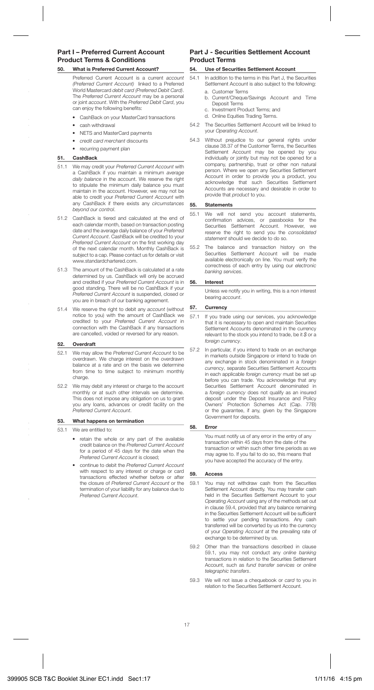## **Part I – Preferred Current Account Product Terms & Conditions**

#### **50. What is Preferred Current Account?**

- Preferred Current Account is a current account (Preferred Current Account) linked to a Preferred World Mastercard debit card (Preferred Debit Card). The Preferred Current Account may be a personal or joint account. With the Preferred Debit Card, you can enjoy the following benefits:
	- CashBack on your MasterCard transactions
	- cash withdrawal
	- NETS and MasterCard payments
	- credit card merchant discounts
	- recurring payment plan

#### **51. CashBack**

- 51.1 We may credit your Preferred Current Account with a CashBack if you maintain a minimum average daily balance in the account. We reserve the right to stipulate the minimum daily balance you must maintain in the account. However, we may not be able to credit your Preferred Current Account with any CashBack if there exists any circumstances beyond our control.
- 51.2 CashBack is tiered and calculated at the end of each calendar month, based on transaction posting date and the average daily balance of your Preferred Current Account. CashBack will be credited to your Preferred Current Account on the first working day of the next calendar month. Monthly CashBack is subject to a cap. Please contact us for details or visit www.standardchartered.com.
- 51.3 The amount of the CashBack is calculated at a rate determined by us. CashBack will only be accrued and credited if your Preferred Current Account is in good standing. There will be no CashBack if your Preferred Current Account is suspended, closed or you are in breach of our banking agreement.
- 51.4 We reserve the right to debit any account (without notice to you) with the amount of CashBack we credited to your Preferred Current Account in connection with the CashBack if any transactions are cancelled, voided or reversed for any reason.

## **52. Overdraft**

- 52.1 We may allow the Preferred Current Account to be overdrawn. We charge interest on the overdrawn balance at a rate and on the basis we determine from time to time subject to minimum monthly charge.
- 52.2 We may debit any interest or charge to the account monthly or at such other intervals we determine. This does not impose any obligation on us to grant you any loans, advances or credit facility on the Preferred Current Account.

#### **53. What happens on termination**

53.1 We are entitled to:

- retain the whole or any part of the available credit balance on the Preferred Current Account for a period of 45 days for the date when the Preferred Current Account is closed;
- continue to debit the Preferred Current Account with respect to any interest or charge or card transactions effected whether before or after the closure of Preferred Current Account or the termination of your liability for any balance due to Preferred Current Account.

## **Part J - Securities Settlement Account Product Terms**

## **54. Use of Securities Settlement Account**

- 54.1 In addition to the terms in this Part J, the Securities Settlement Account is also subject to the following: a. Customer Terms
	- b. Current/Cheque/Savings Account and Time Deposit Terms
	- c. Investment Product Terms; and
	- d. Online Equities Trading Terms.
- 54.2 The Securities Settlement Account will be linked to your Operating Account.
- 54.3 Without prejudice to our general rights under clause 38.37 of the Customer Terms, the Securities Settlement Account may be opened by you individually or jointly but may not be opened for a company, partnership, trust or other non natural person. Where we open any Securities Settlement Account in order to provide you a product, you acknowledge that such Securities Settlement Accounts are necessary and desirable in order to provide that product to you.

## **55. Statements**

- 55.1 We will not send you account statements, confirmation advices, or passbooks for the<br>Securities Settlement Account. However, we reserve the right to send you the consolidated statement should we decide to do so.
- 55.2 The balance and transaction history on the Securities Settlement Account will be made available electronically on line. You must verify the correctness of each entry by using our electronic banking services.

#### **56. Interest**

Unless we notify you in writing, this is a non interest bearing account.

## **57. Currency**

- 57.1 If you trade using our services, you acknowledge that it is necessary to open and maintain Securities Settlement Accounts denominated in the currency relevant to the stock you intend to trade, be it  $$$  or a foreign currency.
- 57.2 In particular, if you intend to trade on an exchange in markets outside Singapore or intend to trade on any exchange in stock denominated in a foreign currency, separate Securities Settlement Accounts in each applicable foreign currency must be set up before you can trade. You acknowledge that any Securities Settlement Account denominated in a foreign currency does not qualify as an insured deposit under the Deposit Insurance and Policy Owners' Protection Schemes Act (Cap. 77B) or the guarantee, if any, given by the Singapore Government for deposits.

### **58. Error**

You must notify us of any error in the entry of any transaction within 45 days from the date of the transaction or within such other time periods as we may agree to. If you fail to do so, this means that you have accepted the accuracy of the entry.

#### **59. Access**

- 59.1 You may not withdraw cash from the Securities Settlement Account directly. You may transfer cash held in the Securities Settlement Account to your Operating Account using any of the methods set out in clause 59.4, provided that any balance remaining in the Securities Settlement Account will be sufficient to settle your pending transactions. Any cash transferred will be converted by us into the currency of your Operating Account at the prevailing rate of exchange to be determined by us.
- 59.2 Other than the transactions described in clause 59.1, you may not conduct any online banking transactions in relation to the Securities Settlement Account, such as fund transfer services or online telegraphic transfers.
- 59.3 We will not issue a chequebook or card to you in relation to the Securities Settlement Account.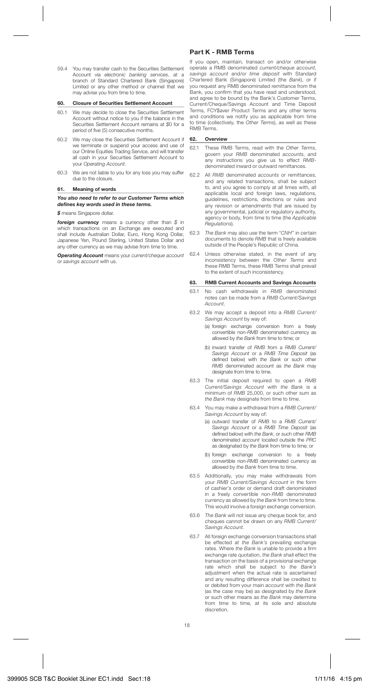59.4 You may transfer cash to the Securities Settlement Account via electronic banking services, at a branch of Standard Chartered Bank (Singapore) Limited or any other method or channel that we may advise you from time to time.

#### **60. Closure of Securities Settlement Account**

- 60.1 We may decide to close the Securities Settlement Account without notice to you if the balance in the Securities Settlement Account remains at \$0 for a period of five (5) consecutive months.
- 60.2 We may close the Securities Settlement Account if we terminate or suspend your access and use of our Online Equities Trading Service, and will transfer all cash in your Securities Settlement Account to your Operating Account.
- 60.3 We are not liable to you for any loss you may suffer due to the closure.

#### **61. Meaning of words**

#### *You also need to refer to our Customer Terms which defi nes key words used in these terms.*

*\$* means Singapore dollar.

foreign currency means a currency other than \$ in which transactions on an Exchange are executed and shall include Australian Dollar, Euro, Hong Kong Dollar, Japanese Yen, Pound Sterling, United States Dollar and any other currency as we may advise from time to time.

*Operating Account* means your current/cheque account or savings account with us.

## **Part K - RMB Terms**

If you open, maintain, transact on and/or otherwise operate a RMB denominated current/cheque account, savings account and/or time deposit with Standard Chartered Bank (Singapore) Limited (the Bank), or if you request any RMB denominated remittance from the Bank, you confirm that you have read and understood, and agree to be bound by the Bank's Customer Terms, Current/Cheque/Savings Account and Time Deposit Terms, FCY\$aver Product Terms and any other terms and conditions we notify you as applicable from time to time (collectively, the Other Terms), as well as these RMB Terms.

#### **62. Overview**

- 62.1 These RMB Terms, read with the Other Terms, govern your RMB denominated accounts, and any instructions you give us to effect RMBdenominated inward or outward remittances.
- 62.2 All RMB denominated accounts or remittances, and any related transactions, shall be subject to, and you agree to comply at all times with, all applicable local and foreign laws, regulations, guidelines, restrictions, directions or rules and any revision or amendments that are issued by any governmental, judicial or regulatory authority, agency or body, from time to time (the Applicable Regulations).
- 62.3 The Bank may also use the term "CNH" in certain documents to denote RMB that is freely available outside of the People's Republic of China.
- 62.4 Unless otherwise stated, in the event of any inconsistency between the Other Terms and these RMB Terms, these RMB Terms shall prevail to the extent of such inconsistency.

#### **63. RMB Current Accounts and Savings Accounts**

- 63.1 No cash withdrawals in RMB denominated notes can be made from a RMB Current/Savings Account.
- 63.2 We may accept a deposit into a RMB Current/ Savings Account by way of:
	- (a) foreign exchange conversion from a freely convertible non-RMB denominated currency as allowed by the Bank from time to time; or
	- (b) inward transfer of RMB from a RMB Current/ Savings Account or a RMB Time Deposit (as defined below) with the Bank or such other RMB denominated account as the Bank may designate from time to time.
- 63.3 The initial deposit required to open a RMB Current/Savings Account with the Bank is a minimum of RMB 25,000, or such other sum as the Bank may designate from time to time.
- 63.4 You may make a withdrawal from a RMB Current/ Savings Account by way of:
	- (a) outward transfer of RMB to a RMB Current/ Savings Account or a RMB Time Deposit (as defined below) with the Bank, or such other RMB denominated account located outside the PRC as designated by the Bank from time to time; or
	- (b) foreign exchange conversion to a freely convertible non-RMB denominated currency as allowed by the Bank from time to time.
- 63.5 Additionally, you may make withdrawals from your RMB Current/Savings Account in the form of cashier's order or demand draft denominated in a freely convertible non-RMB denominated currency as allowed by the Bank from time to time. This would involve a foreign exchange conversion.
- 63.6 The Bank will not issue any cheque book for, and cheques cannot be drawn on any RMB Current/ Savings Account.
- 63.7 All foreign exchange conversion transactions shall be effected at the Bank's prevailing exchange rates. Where the Bank is unable to provide a firm exchange rate quotation, the Bank shall effect the transaction on the basis of a provisional exchange rate which shall be subject to the Bank's adjustment when the actual rate is ascertained and any resulting difference shall be credited to or debited from your main account with the Bank (as the case may be) as designated by the Bank or such other means as the Bank may determine from time to time, at its sole and absolute discretion.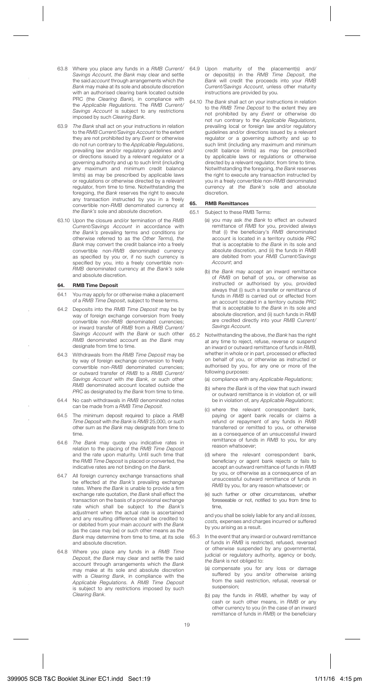- 63.8 Where you place any funds in a RMB Current/ Savings Account, the Bank may clear and settle the said account through arrangements which the Bank may make at its sole and absolute discretion with an authorised clearing bank located outside PRC (the Clearing Bank), in compliance with the Applicable Regulations. The RMB Current/ Savings Account is subject to any restrictions imposed by such Clearing Bank.
- 63.9 The Bank shall act on your instructions in relation to the RMB Current/Savings Account to the extent they are not prohibited by any Event or otherwise do not run contrary to the Applicable Regulations. prevailing law and/or regulatory guidelines and/ or directions issued by a relevant regulator or a governing authority and up to such limit (including any maximum and minimum credit balance limits) as may be prescribed by applicable laws or regulations or otherwise directed by a relevant regulator, from time to time. Notwithstanding the foregoing, the Bank reserves the right to execute any transaction instructed by you in a freely convertible non-RMB denominated currency at the Bank's sole and absolute discretion.
- 63.10 Upon the closure and/or termination of the RMB Current/Savings Account in accordance with the Bank's prevailing terms and conditions (or otherwise referred to as the Other Terms), the Bank may convert the credit balance into a freely convertible non-RMB denominated currency as specified by you or, if no such currency is specified by you, into a freely convertible non-RMB denominated currency at the Bank's sole and absolute discretion.

#### **64. RMB Time Deposit**

- 64.1 You may apply for or otherwise make a placement of a RMB Time Deposit, subject to these terms.
- 64.2 Deposits into the RMB Time Deposit may be by way of foreign exchange conversion from freely convertible non-RMB denominated currencies; or inward transfer of RMB from a RMB Current/ Savings Account with the Bank or such other RMB denominated account as the Bank may designate from time to time.
- 64.3 Withdrawals from the RMB Time Deposit may be by way of foreign exchange conversion to freely convertible non-RMB denominated currencies; or outward transfer of RMB to a RMB Current/ Savings Account with the Bank, or such other RMB denominated account located outside the PRC as designated by the Bank from time to time.
- 64.4 No cash withdrawals in RMB denominated notes can be made from a RMB Time Deposit.
- 64.5 The minimum deposit required to place a RMB Time Deposit with the Bank is RMB 25,000, or such other sum as the Bank may designate from time to time.
- 64.6 The Bank may quote you indicative rates in relation to the placing of the RMB Time Deposit and the rate upon maturity. Until such time that the RMB Time Deposit is placed or converted, the indicative rates are not binding on the Bank.
- 64.7 All foreign currency exchange transactions shall be effected at the Bank's prevailing exchange rates. Where the Bank is unable to provide a firm exchange rate quotation, the Bank shall effect the transaction on the basis of a provisional exchange rate which shall be subject to the Bank's adjustment when the actual rate is ascertained and any resulting difference shall be credited to or debited from your main account with the Bank (as the case may be) or such other means as the Bank may determine from time to time, at its sole and absolute discretion.
- 64.8 Where you place any funds in a RMB Time Deposit, the Bank may clear and settle the said account through arrangements which the Bank may make at its sole and absolute discretion with a Clearing Bank, in compliance with the Applicable Regulations. A RMB Time Deposit is subject to any restrictions imposed by such Clearing Bank.
- 64.9 Upon maturity of the placement(s) and/ or deposit(s) in the RMB Time Deposit, the Bank will credit the proceeds into your RMB Current/Savings Account, unless other maturity instructions are provided by you.
- 64.10 The Bank shall act on your instructions in relation to the RMB Time Deposit to the extent they are not prohibited by any Event or otherwise do not run contrary to the Applicable Regulations, prevailing local or foreign law and/or regulatory guidelines and/or directions issued by a relevant regulator or a governing authority and up to such limit (including any maximum and minimum credit balance limits) as may be prescribed by applicable laws or regulations or otherwise directed by a relevant regulator, from time to time. Notwithstanding the foregoing, the Bank reserves the right to execute any transaction instructed by you in a freely convertible non-RMB denominated currency at the Bank's sole and absolute discretion.

## **65. RMB Remittances**

- 65.1 Subject to these RMB Terms:
	- (a) you may ask the Bank to effect an outward remittance of RMB for you, provided always that (i) the beneficiary's  $RMB$  denominated account is located in a territory outside PRC that is acceptable to the Bank in its sole and absolute discretion, and (ii) the funds in RMB are debited from your RMB Current/Savings Account; and
	- (b) the Bank may accept an inward remittance of RMB on behalf of you, or otherwise as instructed or authorised by you, provided always that (i) such a transfer or remittance of funds in RMB is carried out or effected from an account located in a territory outside PRC that is acceptable to the Bank in its sole and absolute discretion, and (ii) such funds in RMB are credited directly into your RMB Current/ Savings Account.
- 65.2 Notwithstanding the above, the Bank has the right at any time to reject, refuse, reverse or suspend an inward or outward remittance of funds in RMB, whether in whole or in part, processed or effected on behalf of you, or otherwise as instructed or authorised by you, for any one or more of the following purposes:
	- (a) compliance with any Applicable Regulations;
	- (b) where the Bank is of the view that such inward or outward remittance is in violation of, or will be in violation of, any Applicable Regulations;
	- (c) where the relevant correspondent bank, paying or agent bank recalls or claims a refund or repayment of any funds in RMB transferred or remitted to you, or otherwise as a consequence of an unsuccessful inward remittance of funds in RMB to you, for any reason whatsoever;
	- (d) where the relevant correspondent bank, beneficiary or agent bank rejects or fails to accept an outward remittance of funds in RMB by you, or otherwise as a consequence of an unsuccessful outward remittance of funds in RMB by you, for any reason whatsoever; or
	- (e) such further or other circumstances, whether foreseeable or not, notified to you from time to time,

and you shall be solely liable for any and all losses, costs, expenses and charges incurred or suffered by you arising as a result.

- 65.3 In the event that any inward or outward remittance of funds in RMB is restricted, refused, reversed or otherwise suspended by any governmental, judicial or regulatory authority, agency or body, the Bank is not obliged to:
	- (a) compensate you for any loss or damage suffered by you and/or otherwise arising from the said restriction, refusal, reversal or suspension;
	- (b) pay the funds in RMB, whether by way of cash or such other means, in RMB or any other currency to you (in the case of an inward remittance of funds in *RMR*) or the beneficiary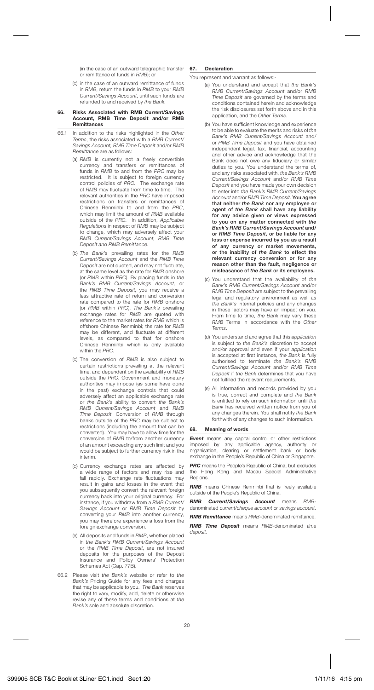(in the case of an outward telegraphic transfer or remittance of funds in RMB); or

(c) in the case of an outward remittance of funds in RMB, return the funds in RMB to your RMB Current/Savings Account, until such funds are refunded to and received by the Bank.

#### **66. Risks Associated with RMB Current/Savings Account, RMB Time Deposit and/or RMB Remittances**

- 66.1 In addition to the risks highlighted in the Other Terms, the risks associated with a RMB Current/ Savings Account, RMB Time Deposit and/or RMB Remittance are as follows:
	- (a) RMB is currently not a freely convertible currency and transfers or remittances of funds in RMB to and from the PRC may be restricted. It is subject to foreign currency control policies of PRC. The exchange rate of RMB may fluctuate from time to time. The relevant authorities in the PRC have imposed restrictions on transfers or remittances of Chinese Renminbi to and from the PRC, which may limit the amount of RMB available outside of the PRC. In addition, Applicable Regulations in respect of RMB may be subject to change, which may adversely affect your RMB Current/Savings Account, RMB Time Deposit and RMB Remittance.
	- (b) The Bank's prevailing rates for the RMB Current/Savings Account and the RMB Time Deposit are not quoted, and may not fluctuate. at the same level as the rate for RMB onshore (or RMB within PRC). By placing funds in the Bank's RMB Current/Savings Account, or the RMB Time Deposit, you may receive a less attractive rate of return and conversion rate compared to the rate for RMB onshore (or RMB within PRC). The Bank's prevailing exchange rates for RMB are quoted with reference to the market rates for RMB which is offshore Chinese Renminbi; the rate for RMB may be different, and fluctuate at different levels, as compared to that for onshore Chinese Renminbi which is only available within the PRC.
	- (c) The conversion of RMB is also subject to certain restrictions prevailing at the relevant time, and dependent on the availability of RMB outside the PRC. Government and monetary authorities may impose (as some have done in the past) exchange controls that could adversely affect an applicable exchange rate or the Bank's ability to convert the Bank's RMB Current/Savings Account and RMB Time Deposit. Conversion of RMB through banks outside of the PRC may be subject to restrictions (including the amount that can be converted). You may have to allow time for the conversion of RMB to/from another currency of an amount exceeding any such limit and you would be subject to further currency risk in the interim.
	- (d) Currency exchange rates are affected by a wide range of factors and may rise and fall rapidly. Exchange rate fluctuations may result in gains and losses in the event that you subsequently convert the relevant foreign currency back into your original currency. For instance, if you withdraw from a RMB Current/ Savings Account or RMB Time Deposit by converting your RMB into another currency, you may therefore experience a loss from the foreign exchange conversion.
	- (e) All deposits and funds in RMB, whether placed in the Bank's RMB Current/Savings Account or the RMB Time Deposit, are not insured deposits for the purposes of the Deposit Insurance and Policy Owners' Protection Schemes Act (Cap. 77B).
- 66.2 Please visit the Bank's website or refer to the Bank's Pricing Guide for any fees and charges that may be applicable to you. The Bank reserves the right to vary, modify, add, delete or otherwise revise any of these terms and conditions at the Bank's sole and absolute discretion.

#### **67. Declaration**

You represent and warrant as follows:-

- (a) You understand and accept that the Bank's RMB Current/Savings Account and/or RMB Time Deposit are governed by the terms and conditions contained herein and acknowledge the risk disclosures set forth above and in this application, and the Other Terms.
- (b) You have sufficient knowledge and experience to be able to evaluate the merits and risks of the Bank's RMB Current/Savings Account and/ or RMB Time Deposit and you have obtained independent legal, tax, financial, accounting and other advice and acknowledge that the Bank does not owe any fiduciary or similar duties to you. You understand the terms of, and any risks associated with, the Bank's RMB Current/Savings Account and/or RMB Time Deposit and you have made your own decision to enter into the Bank's RMB Current/Savings Account and/or RMB Time Deposit. **You agree that neither** *the Bank* **nor any employee or agent of** *the Bank* **shall have any liability for any advice given or views expressed to you on any matter connected with** *the Bank's RMB Current/Savings Account* **and/ or** *RMB Time Deposit***, or be liable for any loss or expense incurred by you as a result of any currency or market movements, or the inability of** *the Bank* **to effect the relevant currency conversion or for any reason other than the fault, negligence or misfeasance of** *the Bank* **or its employees.**
- (c) You understand that the availability of the Bank's RMB Current/Savings Account and/or RMB Time Deposit are subject to the prevailing legal and regulatory environment as well as the Bank's internal policies and any changes in these factors may have an impact on you. From time to time, the Bank may vary these RMB Terms in accordance with the Other Terms.
- (d) You understand and agree that this application is subject to the Bank's discretion to accept and/or approval and even if your application is accepted at first instance, the Bank is fully authorised to terminate the Bank's RMB Current/Savings Account and/or RMB Time Deposit if the Bank determines that you have not fulfilled the relevant requirements.
- (e) All information and records provided by you is true, correct and complete and the Bank is entitled to rely on such information until the Bank has received written notice from you of any changes therein. You shall notify the Bank forthwith of any changes to such information.

#### **68. Meaning of words**

*Event* means any capital control or other restrictions imposed by any applicable agency, authority or organisation, clearing or settlement bank or body exchange in the People's Republic of China or Singapore.

**PRC** means the People's Republic of China, but excludes the Hong Kong and Macau Special Administrative Regions.

*RMB* means Chinese Renminbi that is freely available outside of the People's Republic of China.

*RMB Current/Savings Account* means RMBdenominated current/cheque account or savings account. *RMB Remittance* means RMB-denominated remittance.

*RMB Time Deposit* means RMB-denominated time deposit.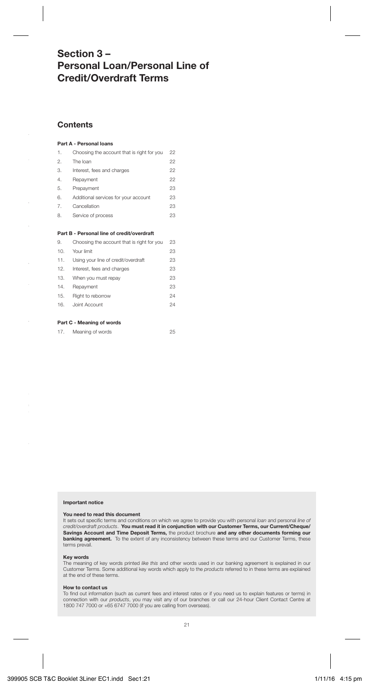## **Section 3 – Personal Loan/Personal Line of Credit/Overdraft Terms**

## **Contents**

#### **Part A - Personal loans**

| 1.               | Choosing the account that is right for you | 22 |
|------------------|--------------------------------------------|----|
| $\mathfrak{D}$ . | The loan                                   | 22 |
| 3.               | Interest, fees and charges                 | 22 |
| $\mathbf{4}$     | Repayment                                  | 22 |
| 5.               | Prepayment                                 | 23 |
| 6.               | Additional services for your account       | 23 |
| 7.               | Cancellation                               | 23 |
| 8.               | Service of process                         | 23 |

#### **Part B - Personal line of credit/overdraft**

| 9.  | Choosing the account that is right for you | 23 |
|-----|--------------------------------------------|----|
| 10. | Your limit                                 | 23 |
| 11. | Using your line of credit/overdraft        | 23 |
| 12. | Interest, fees and charges                 | 23 |
| 13. | When you must repay                        | 23 |
| 14. | Repayment                                  | 23 |
| 15. | Right to reborrow                          | 24 |
| 16. | Joint Account                              | 24 |
|     |                                            |    |

## **Part C - Meaning of words**

| 17. | Meaning of words | 25 |
|-----|------------------|----|
|-----|------------------|----|

#### **Important notice**

#### **You need to read this document**

It sets out specific terms and conditions on which we agree to provide you with personal loan and personal line of credit/overdraft products. **You must read it in conjunction with our Customer Terms, our Current/Cheque/ Savings Account and Time Deposit Terms,** the product brochure **and any other documents forming our banking agreement.** To the extent of any inconsistency between these terms and our Customer Terms, these **banking agreement.** To the extent of any inconsistency between these terms and our Customer Terms, these terms prevail.

#### **Key words**

The meaning of key words printed like this and other words used in our banking agreement is explained in our Customer Terms. Some additional key words which apply to the products referred to in these terms are explained at the end of these terms.

## **How to contact us**

To find out information (such as current fees and interest rates or if you need us to explain features or terms) in connection with our products, you may visit any of our branches or call our 24-hour Client Contact Centre at 1800 747 7000 or +65 6747 7000 (if you are calling from overseas).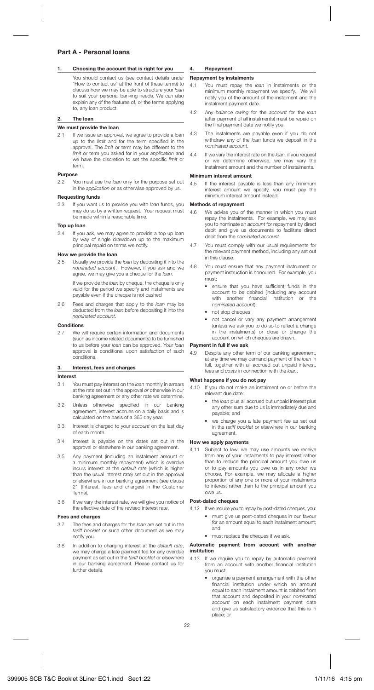## **Part A - Personal loans**

## **1. Choosing the account that is right for you**

 You should contact us (see contact details under "How to contact us" at the front of these terms) to discuss how we may be able to structure your loan to suit your personal banking needs. We can also explain any of the features of, or the terms applying to, any loan product.

## **2. The loan**

## **We must provide the loan**

2.1 If we issue an approval, we agree to provide a loan up to the limit and for the term specified in the approval. The limit or term may be different to the limit or term you asked for in your application and we have the discretion to set the specific limit or term.

## **Purpose**

2.2 You must use the loan only for the purpose set out in the application or as otherwise approved by us.

## **Requesting funds**

2.3 If you want us to provide you with loan funds, you may do so by a written request. Your request must be made within a reasonable time.

### **Top up loan**

2.4 If you ask, we may agree to provide a top up loan by way of single drawdown up to the maximum principal repaid on terms we notify.

## **How we provide the loan**<br>2.5. **Hough**y we provide the

Usually we provide the loan by depositing it into the nominated account. However, if you ask and we agree, we may give you a cheque for the loan.

> If we provide the loan by cheque, the cheque is only valid for the period we specify and instalments are payable even if the cheque is not cashed

2.6 Fees and charges that apply to the loan may be deducted from the loan before depositing it into the nominated account.

## **Conditions**

2.7 We will require certain information and documents (such as income related documents) to be furnished to us before your loan can be approved. Your loan approval is conditional upon satisfaction of such conditions.

## **3. Interest, fees and charges**

## **Interest**

- 3.1 You must pay interest on the loan monthly in arrears at the rate set out in the approval or otherwise in our banking agreement or any other rate we determine.
- 3.2 Unless otherwise specified in our banking agreement, interest accrues on a daily basis and is calculated on the basis of a 365 day year.
- 3.3 Interest is charged to your account on the last day of each month.
- 3.4 Interest is payable on the dates set out in the approval or elsewhere in our banking agreement.
- 3.5 Any payment (including an instalment amount or a minimum monthly repayment) which is overdue incurs interest at the *default rate* (which is higher than the usual interest rate) set out in the approval or elsewhere in our banking agreement (see clause 21 (Interest, fees and charges) in the Customer Terms).
- 3.6 If we vary the interest rate, we will give you notice of the effective date of the revised interest rate.

## **Fees and charges**

- 3.7 The fees and charges for the loan are set out in the tariff booklet or such other document as we may notify you.
- 3.8 In addition to charging interest at the default rate, we may charge a late payment fee for any overdue payment as set out in the tariff booklet or elsewhere in our banking agreement. Please contact us for further details.

## **4. Repayment**

## **Repayment by instalments**<br> $4.1$  You must repay the

- You must repay the loan in instalments or the minimum monthly repayment we specify. We will notify you of the amount of the instalment and the instalment payment date.
- 4.2 Any balance owing for the account for the loan (after payment of all instalments) must be repaid on the final payment date we notify you.
- 4.3 The instalments are payable even if you do not withdraw any of the loan funds we deposit in the nominated account.
- 4.4 If we vary the interest rate on the *loan*, if you request or we determine otherwise, we may vary the instalment amount and the number of instalments.

### **Minimum interest amount**

4.5 If the interest payable is less than any minimum interest amount we specify, you must pay the minimum interest amount instead.

## **Methods of repayment**

- 4.6 We advise you of the manner in which you must repay the instalments. For example, we may ask you to nominate an *account* for repayment by direct debit and give us documents to facilitate direct debit from the nominated account.
- 4.7 You must comply with our usual requirements for the relevant payment method, including any set out in this clause.
- 4.8 You must ensure that any payment instrument or payment instruction is honoured. For example, you must:
	- ensure that you have sufficient funds in the account to be debited (including any account with another financial institution or the nominated account);
	- not stop cheques;
	- not cancel or vary any payment arrangement (unless we ask you to do so to reflect a change in the instalments) or close or change the account on which cheques are drawn.

#### **Payment in full if we ask**

4.9 Despite any other term of our banking agreement, at any time we may demand payment of the loan in full, together with all accrued but unpaid interest, fees and costs in connection with the loan.

#### **What happens if you do not pay**

- 4.10 If you do not make an instalment on or before the relevant due date:
	- the loan plus all accrued but unpaid interest plus any other sum due to us is immediately due and payable; and
	- we charge you a late payment fee as set out in the tariff booklet or elsewhere in our banking agreement.

#### **How we apply payments**

4.11 Subject to law, we may use amounts we receive from any of your instalments to pay interest rather than to reduce the principal amount you owe us or to pay amounts you owe us in any order we choose. For example, we may allocate a higher proportion of any one or more of your instalments to interest rather than to the principal amount you owe us.

#### **Post-dated cheques**

- 4.12 If we require you to repay by post-dated cheques, you:
	- must give us post-dated cheques in our favour for an amount equal to each instalment amount; and
	- must replace the cheques if we ask.

#### **Automatic payment from account with another institution**

- 4.13 If we require you to repay by automatic payment from an account with another financial institution you must:
	- organise a payment arrangement with the other financial institution under which an amount equal to each instalment amount is debited from that account and deposited in your nominated account on each instalment payment date and give us satisfactory evidence that this is in place; or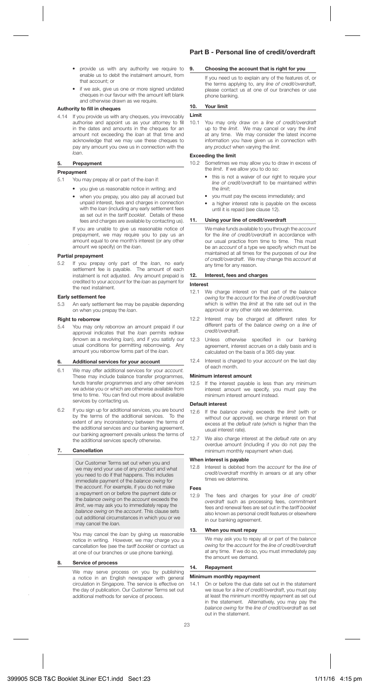- provide us with any authority we require to enable us to debit the instalment amount, from that account; or
- if we ask, give us one or more signed undated cheques in our favour with the amount left blank and otherwise drawn as we require.

#### **Authority to fill in cheques**

4.14 If you provide us with any cheques, you irrevocably authorise and appoint us as your attorney to fill in the dates and amounts in the cheques for an amount not exceeding the loan at that time and acknowledge that we may use these cheques to pay any amount you owe us in connection with the loan.

#### **5. Prepayment**

#### **Prepayment**

- 5.1 You may prepay all or part of the loan if:
	- you give us reasonable notice in writing; and
	- when you prepay, you also pay all accrued but unpaid interest, fees and charges in connection with the loan (including any early settlement fees as set out in the *tariff booklet*. Details of these fees and charges are available by contacting us).

 If you are unable to give us reasonable notice of prepayment, we may require you to pay us an amount equal to one month's interest (or any other amount we specify) on the loan.

## **Partial prepayment**<br>5.2 If you prepay

If you prepay only part of the loan, no early settlement fee is payable. The amount of each instalment is not adjusted. Any amount prepaid is credited to your account for the loan as payment for the next instalment.

#### **Early settlement fee**

5.3 An early settlement fee may be payable depending on when you prepay the loan.

### **Right to reborrow**

5.4 You may only reborrow an amount prepaid if our approval indicates that the loan permits redraw (known as a revolving loan), and if you satisfy our<br>usual conditions for permitting reborrowing. Any usual conditions for permitting reborrowing. amount you reborrow forms part of the loan.

#### **6. Additional services for your account**

- 6.1 We may offer additional services for your account. These may include balance transfer programmes. funds transfer programmes and any other services we advise you or which are otherwise available from time to time. You can find out more about available services by contacting us.
- 6.2 If you sign up for additional services, you are bound by the terms of the additional services. To the extent of any inconsistency between the terms of the additional services and our banking agreement, our banking agreement prevails unless the terms of the additional services specify otherwise.

#### **7. Cancellation**

Our Customer Terms set out when you and we may end your use of any *product* and what you need to do if that happens. This includes immediate payment of the balance owing for the *account*. For example, if you do not make a repayment on or before the payment date or the balance owing on the account exceeds the limit, we may ask you to immediately repay the balance owing on the account. This clause sets out additional circumstances in which you or we may cancel the loan.

You may cancel the *loan* by giving us reasonable notice in writing. However, we may charge you a cancellation fee (see the tariff booklet or contact us at one of our branches or use phone banking).

#### **8. Service of process**

 We may serve process on you by publishing a notice in an English newspaper with general circulation in Singapore. The service is effective on the day of publication. Our Customer Terms set out additional methods for service of process.

## **Part B - Personal line of credit/overdraft**

#### **9. Choosing the account that is right for you**

 If you need us to explain any of the features of, or the terms applying to, any line of credit/overdraft, please contact us at one of our branches or use phone banking.

## **10. Your limit**

## **Limit**<br>10.1

You may only draw on a line of credit/overdraft up to the *limit*. We may cancel or vary the *limit* at any time. We may consider the latest income information you have given us in connection with any product when varying the limit.

## **Exceeding the limit**

10.2 Sometimes we may allow you to draw in excess of the *limit*. If we allow you to do so:

- this is not a waiver of our right to require your line of credit/overdraft to be maintained within the limit;
- you must pay the excess immediately; and
- a higher interest rate is payable on the excess until it is repaid (see clause 12).

#### **11. Using your line of credit/overdraft**

 We make funds available to you through the account for the *line of credit/overdraft* in accordance with our usual practice from time to time. This must our usual practice from time to time. be an account of a type we specify which must be maintained at all times for the purposes of our line of credit/overdraft. We may change this account at any time for any reason.

#### **12. Interest, fees and charges**

#### **Interest**

- 12.1 We charge interest on that part of the balance owing for the account for the line of credit/overdraft which is within the limit at the rate set out in the approval or any other rate we determine.
- 12.2 Interest may be charged at different rates for different parts of the balance owing on a line of credit/overdraft.
- 12.3 Unless otherwise specified in our banking agreement, interest accrues on a daily basis and is calculated on the basis of a 365 day year.
- 12.4 Interest is charged to your account on the last day of each month.

## **Minimum interest amount**

12.5 If the interest payable is less than any minimum interest amount we specify, you must pay the minimum interest amount instead.

#### **Default interest**

- 12.6 If the balance owing exceeds the limit (with or without our approval), we charge interest on that excess at the *default rate* (which is higher than the usual interest rate).
- 12.7 We also charge interest at the *default rate* on any overdue amount (including if you do not pay the minimum monthly repayment when due).

#### **When interest is payable**

12.8 Interest is debited from the account for the line of credit/overdraft monthly in arrears or at any other times we determine.

#### **Fees**

12.9 The fees and charges for your line of credit/ overdraft such as processing fees, commitment<br>fees and renewal fees are set out in the *tariff booklet* also known as personal credit features or elsewhere in our banking agreement.

#### **13. When you must repay**

 We may ask you to repay all or part of the balance owing for the account for the line of credit/overdraft at any time. If we do so, you must immediately pay the amount we demand.

#### **14. Repayment**

#### **Minimum monthly repayment**

14.1 On or before the due date set out in the statement we issue for a line of credit/overdraft, you must pay at least the minimum monthly repayment as set out in the statement. Alternatively, you may pay the balance owing for the line of credit/overdraft as set out in the statement.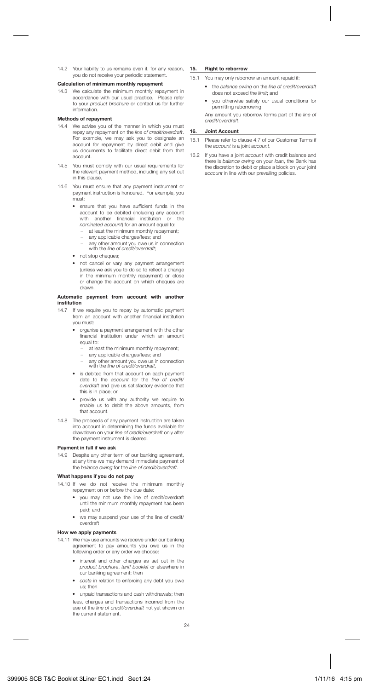14.2 Your liability to us remains even if, for any reason, 15. you do not receive your periodic statement.

#### **Calculation of minimum monthly repayment**

14.3 We calculate the minimum monthly repayment in accordance with our usual practice. Please refer to your product brochure or contact us for further information.

#### **Methods of repayment**

- 14.4 We advise you of the manner in which you must repay any repayment on the line of credit/overdraft. For example, we may ask you to designate an account for repayment by direct debit and give us documents to facilitate direct debit from that account.
- 14.5 You must comply with our usual requirements for the relevant payment method, including any set out in this clause.
- 14.6 You must ensure that any payment instrument or payment instruction is honoured. For example, you must:
	- ensure that you have sufficient funds in the account to be debited (including any account<br>with another financial institution or the with another financial institution nominated account) for an amount equal to:
		- at least the minimum monthly repayment;
		- any applicable charges/fees; and
		- any other amount you owe us in connection with the line of credit/overdraft;
	- not stop cheques;
	- not cancel or vary any payment arrangement (unless we ask you to do so to reflect a change in the minimum monthly repayment) or close or change the account on which cheques are drawn.

#### **Automatic payment from account with another institution**

- 14.7 If we require you to repay by automatic payment from an account with another financial institution you must:
	- organise a payment arrangement with the other financial institution under which an amount equal to:
		- at least the minimum monthly repayment;
		- any applicable charges/fees; and
		- any other amount you owe us in connection with the line of credit/overdraft,
	- is debited from that account on each payment date to the account for the line of credit/ overdraft and give us satisfactory evidence that this is in place; or
	- provide us with any authority we require to enable us to debit the above amounts, from that account.
- 14.8 The proceeds of any payment instruction are taken into account in determining the funds available for drawdown on your line of credit/overdraft only after the payment instrument is cleared.

#### **Payment in full if we ask**

14.9 Despite any other term of our banking agreement. at any time we may demand immediate payment of the balance owing for the line of credit/overdraft.

#### **What happens if you do not pay**

- 14.10 If we do not receive the minimum monthly repayment on or before the due date:
	- you may not use the line of credit/overdraft until the minimum monthly repayment has been paid; and
	- we may suspend your use of the line of credit/ overdraft

#### **How we apply payments**

- 14.11 We may use amounts we receive under our banking agreement to pay amounts you owe us in the following order or any order we choose:
	- interest and other charges as set out in the product brochure, tariff booklet or elsewhere in our banking agreement; then
	- costs in relation to enforcing any debt you owe us; then
	- unpaid transactions and cash withdrawals; then fees, charges and transactions incurred from the

use of the *line of credit/overdraft* not yet shown on the current statement.

#### **15. Right to reborrow**

15.1 You may only reborrow an amount repaid if:

- the balance owing on the line of credit/overdraft does not exceed the limit; and
- you otherwise satisfy our usual conditions for permitting reborrowing.

 Any amount you reborrow forms part of the line of credit/overdraft.

#### **16. Joint Account**

- 16.1 Please refer to clause 4.7 of our Customer Terms if the account is a joint account.
- 16.2 If you have a joint account with credit balance and there is balance owing on your loan, the Bank has the discretion to debit or place a block on your joint account in line with our prevailing policies.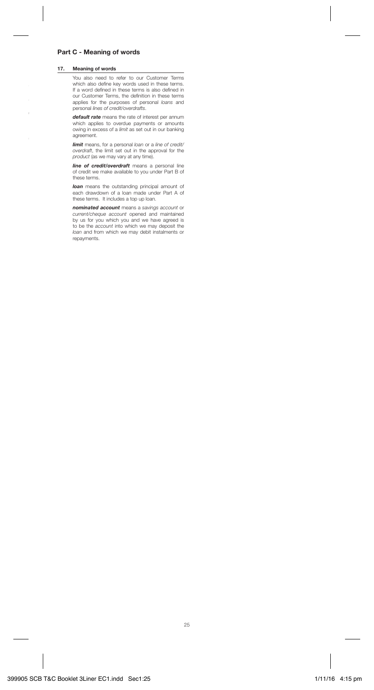## **Part C - Meaning of words**

## **17. Meaning of words**

 You also need to refer to our Customer Terms which also define key words used in these terms. If a word defined in these terms is also defined in our Customer Terms, the definition in these terms applies for the purposes of personal *loans* and personal lines of credit/overdrafts.

 *default rate* means the rate of interest per annum which applies to overdue payments or amounts owing in excess of a limit as set out in our banking agreement.

**limit** means, for a personal loan or a line of credit/ overdraft, the limit set out in the approval for the product (as we may vary at any time).

 *line of credit/overdraft* means a personal line of credit we make available to you under Part B of these terms.

*loan* means the outstanding principal amount of each drawdown of a loan made under Part A of these terms. It includes a top up loan.

 *nominated account* means a savings account or current/cheque account opened and maintained by us for you which you and we have agreed is to be the account into which we may deposit the loan and from which we may debit instalments or repayments.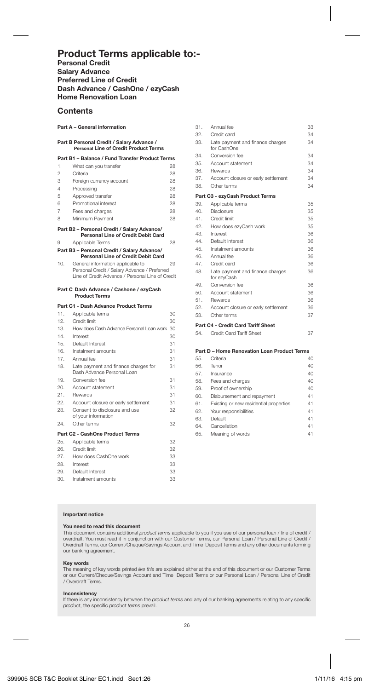## **Product Terms applicable to:-**

**Personal Credit Salary Advance Preferred Line of Credit Dash Advance / CashOne / ezyCash Home Renovation Loan**

## **Contents**

#### **Part A – General information**

## **Part B Personal Credit / Salary Advance / Personal Line of Credit Product Terms Part B1 – Balance / Fund Transfer Product Terms** 1. What can you transfer 28<br>2 Critoria 28 2. Criteria 28 3. Foreign currency account 28<br>4. Processing 28 Processing 28<br>Annroved transfer 28 5. Approved transfer 6. Promotional interest 28 7. Fees and charges 28 8. Minimum Payment 28 **Part B2 – Personal Credit / Salary Advance/ Personal Line of Credit Debit Card** 9. Applicable Terms 28 **Part B3 – Personal Credit / Salary Advance/ Personal Line of Credit Debit Card** 10. General information applicable to 29 Personal Credit / Salary Advance / Preferred Line of Credit Advance / Personal Line of Credit **Part C Dash Advance / Cashone / ezyCash Product Terms Part C1 - Dash Advance Product Terms** 11. Applicable terms 30 12. Credit limit 30 13. How does Dash Advance Personal Loan work 30 14. Interest 30 15. Default Interest 31 16. Instalment amounts 31 17. Annual fee 31 18. Late payment and finance charges for 31 Dash Advance Personal Loan 19. Conversion fee 31<br>20. Account statement 31 Account statement 21. Rewards 31 22. Account closure or early settlement 31<br>23. Consent to disclosure and use 32 Consent to disclosure and use of your information 24. Other terms 32 **Part C2 - CashOne Product Terms** 25. Applicable terms 32<br>26. Credit limit 32 26. Credit limit 32<br>32. How does CashOpp work 33 23. How does CashOne work 33<br>Interest 33 28. Interest 29. Default Interest 33 30. Instalment amounts 33

| 31. | Annual fee                                      | 33 |
|-----|-------------------------------------------------|----|
| 32. | Credit card                                     | 34 |
| 33. | Late payment and finance charges<br>for CashOne | 34 |
| 34. | Conversion fee                                  | 34 |
| 35. | Account statement                               | 34 |
|     | 36. Rewards                                     | 34 |
| 37. | Account closure or early settlement             | 34 |
| 38. | Other terms                                     | 34 |
|     | Part C3 - ezyCash Product Terms                 |    |
| 39. | Applicable terms                                | 35 |
| 40. | Disclosure                                      | 35 |
| 41  | Credit limit                                    | 35 |
| 42. | How does ezyCash work                           | 35 |
| 43. | Interest                                        | 36 |
| 44  | Default Interest                                | 36 |
| 45. | Instalment amounts                              | 36 |
| 46. | Annual fee                                      | 36 |
| 47. | Credit card                                     | 36 |
| 48. | Late payment and finance charges<br>for ezyCash | 36 |
| 49. | Conversion fee                                  | 36 |
| 50  | Account statement                               | 36 |
| 51. | Rewards                                         | 36 |
| 52. | Account closure or early settlement             | 36 |
| 53. | Other terms                                     | 37 |
|     | Part C4 - Credit Card Tariff Sheet              |    |
| 54. | Credit Card Tariff Sheet                        | 37 |

## **Part D – Home Renovation Loan Product Terms**

| 55. | Criteria                               | 40 |
|-----|----------------------------------------|----|
| 56. | Tenor                                  | 40 |
| 57. | Insurance                              | 40 |
| 58. | Fees and charges                       | 40 |
| 59. | Proof of ownership                     | 40 |
| 60. | Disbursement and repayment             | 41 |
| 61. | Existing or new residential properties | 41 |
| 62. | Your responsibilities                  | 41 |
| 63. | Default                                | 41 |
| 64. | Cancellation                           | 41 |
| 65. | Meaning of words                       | 41 |
|     |                                        |    |

#### **Important notice**

## **You need to read this document**

This document contains additional product terms applicable to you if you use of our personal loan / line of credit / overdraft. You must read it in conjunction with our Customer Terms, our Personal Loan / Personal Line of Credit / Overdraft Terms, our Current/Cheque/Savings Account and Time Deposit Terms and any other documents forming our banking agreement.

#### **Key words**

The meaning of key words printed like this are explained either at the end of this document or our Customer Terms or our Current/Cheque/Savings Account and Time Deposit Terms or our Personal Loan / Personal Line of Credit / Overdraft Terms.

#### **Inconsistency**

If there is any inconsistency between the product terms and any of our banking agreements relating to any specifi c product, the specific product terms prevail.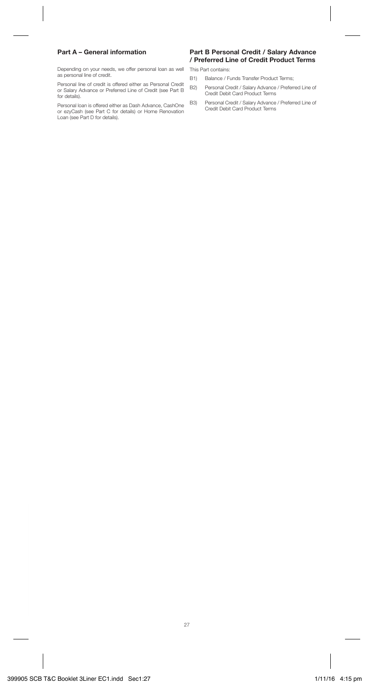## **Part A – General information**

Depending on your needs, we offer personal loan as well as personal line of credit.

Personal line of credit is offered either as Personal Credit or Salary Advance or Preferred Line of Credit (see Part B for details).

Personal loan is offered either as Dash Advance, CashOne or ezyCash (see Part C for details) or Home Renovation Loan (see Part D for details).

## **Part B Personal Credit / Salary Advance / Preferred Line of Credit Product Terms**

This Part contains:

- B1) Balance / Funds Transfer Product Terms;
- B2) Personal Credit / Salary Advance / Preferred Line of Credit Debit Card Product Terms
- B3) Personal Credit / Salary Advance / Preferred Line of Credit Debit Card Product Terms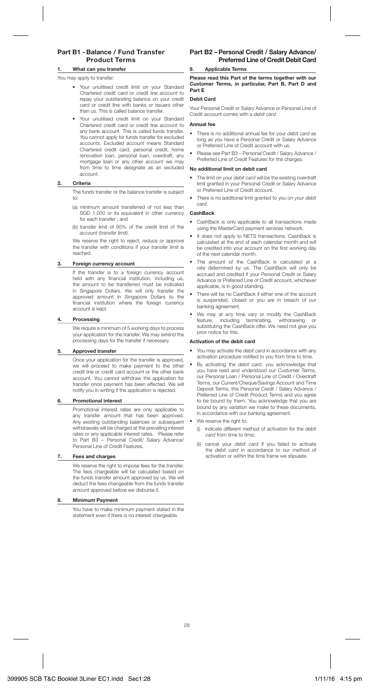## **Part B1 - Balance / Fund Transfer Product Terms**

#### **1. What can you transfer**

You may apply to transfer:

- Your unutilised credit limit on your Standard Chartered credit card or credit line account to repay your outstanding balance on your credit card or credit line with banks or issuers other than us. This is called balance transfer.
- Your unutilised credit limit on your Standard Chartered credit card or credit line account to any bank account. This is called funds transfer. You cannot apply for funds transfer for excluded accounts. Excluded account means Standard Chartered credit card, personal credit, home renovation loan, personal loan, overdraft, any mortgage loan or any other account we may from time to time designate as an excluded account.

#### **2. Criteria**

 The funds transfer or the balance transfer is subject  $t \sim$ 

- (a) minimum amount transferred of not less than SGD 1,000 or its equivalent in other currency for each transfer ; and
- (b) transfer limit of 95% of the credit limit of the account (transfer limit).

 We reserve the right to reject, reduce or approve the transfer with conditions if your transfer limit is reached.

#### **3. Foreign currency account**

 If the transfer is to a foreign currency account held with any financial institution, including us, the amount to be transferred must be indicated in Singapore Dollars. We will only transfer the approved amount in Singapore Dollars to the financial institution where the foreign currency account is kept.

#### **4. Processing**

 We require a minimum of 5 working days to process your application for the transfer. We may extend the processing days for the transfer if necessary.

#### **5. Approved transfer**

 Once your application for the transfer is approved, we will proceed to make payment to the other credit line or credit card account or the other bank account. You cannot withdraw the application for transfer once payment has been effected. We will notify you in writing if the application is rejected.

#### **6. Promotional interest**

 Promotional interest rates are only applicable to any transfer amount that has been approved. Any existing outstanding balances or subsequent withdrawals will be charged at the prevailing interest rates or any applicable interest rates. Please refer to Part B3 – Personal Credit/ Salary Advance/ Personal Line of Credit Features.

### **7. Fees and charges**

 We reserve the right to impose fees for the transfer. The fees chargeable will be calculated based on the funds transfer amount approved by us. We will deduct the fees changeable from the funds transfer amount approved before we disburse it.

#### **8. Minimum Payment**

 You have to make minimum payment stated in the statement even if there is no interest chargeable.

## **Part B2 – Personal Credit / Salary Advance/ Preferred Line of Credit Debit Card**

#### **9. Applicable Terms**

**Please read this Part of the terms together with our Customer Terms, in particular, Part B, Part D and Part E**

#### **Debit Card**

Your Personal Credit or Salary Advance or Personal Line of Credit account comes with a debit card.

#### **Annual fee**

- There is no additional annual fee for your debit card as long as you have a Personal Credit or Salary Advance or Preferred Line of Credit account with us.
- Please see Part B3 Personal Credit / Salary Advance / Preferred Line of Credit Features for the charges.

#### **No additional limit on debit card**

- The limit on your debit card will be the existing overdraft limit granted in your Personal Credit or Salary Advance or Preferred Line of Credit account.
- There is no additional limit granted to you on your debit card.

#### **CashBack**

- CashBack is only applicable to all transactions made using the MasterCard payment services network.
- It does not apply to NETS transactions. CashBack is calculated at the end of each calendar month and will be credited into your account on the first working day of the next calendar month.<br>The amount of the CashBack is calculated at a
- The amount of the CashBack is calculated at a rate determined by us. The CashBack will only be accrued and credited if your Personal Credit or Salary Advance or Preferred Line of Credit account, whichever applicable, is in good standing.
- There will be no CashBack if either one of the account is suspended, closed or you are in breach of our banking agreement.
- We may at any time vary or modify the CashBack<br>feature, including terminating, withdrawing or including terminating, withdrawing or substituting the CashBack offer. We need not give you prior notice for this.

#### **Activation of the debit card**

- You may activate the debit card in accordance with any activation procedure notified to you from time to time.
- By activating the *debit card*, you acknowledge that you have read and understood our Customer Terms, our Personal Loan / Personal Line of Credit / Overdraft Terms, our Current/Cheque/Savings Account and Time Deposit Terms, this Personal Credit / Salary Advance / Preferred Line of Credit Product Terms and you agree to be bound by them. You acknowledge that you are bound by any variation we make to these documents, in accordance with our banking agreement.
- We reserve the right to:
	- (i) indicate different method of activation for the debit card from time to time;
	- (ii) cancel your debit card if you failed to activate the debit card in accordance to our method of activation or within the time frame we stipulate.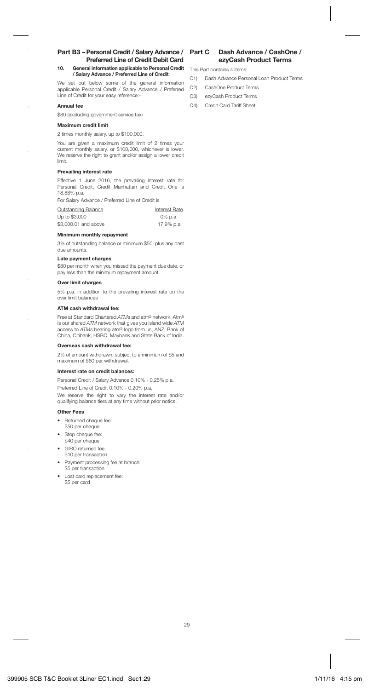#### **Part B3 – Personal Credit / Salary Advance / Preferred Line of Credit Debit Card 10. General information applicable to Personal Credit / Salary Advance / Preferred Line of Credit**

We set out below some of the general information applicable Personal Credit / Salary Advance / Preferred Line of Credit for your easy reference:-

#### **Annual fee**

\$80 (excluding government service tax)

#### **Maximum credit limit**

2 times monthly salary, up to \$100,000.

You are given a maximum credit limit of 2 times your current monthly salary, or \$100,000, whichever is lower. We reserve the right to grant and/or assign a lower credit limit.

#### **Prevailing interest rate**

Effective 1 June 2016, the prevailing interest rate for Personal Credit, Credit Manhattan and Credit One is 18.88% p.a.

For Salary Advance / Preferred Line of Credit is

| Outstanding Balance  | Interest Rate |
|----------------------|---------------|
| Up to \$3,000        | 0% p.a.       |
| \$3,000,01 and above | 17.9% p.a.    |

#### **Minimum monthly repayment**

3% of outstanding balance or minimum \$50, plus any past due amounts.

#### **Late payment charges**

\$80 per month when you missed the payment due date, or pay less than the minimum repayment amount

#### **Over limit charges**

5% p.a. in addition to the prevailing interest rate on the over limit balances

#### **ATM cash withdrawal fee:**

Free at Standard Chartered ATMs and atm<sup>5</sup> network. Atm<sup>5</sup> is our shared ATM network that gives you island wide ATM access to ATMs bearing atm5 logo from us, ANZ, Bank of China, Citibank, HSBC, Maybank and State Bank of India.

#### **Overseas cash withdrawal fee:**

2% of amount withdrawn, subject to a minimum of \$5 and maximum of \$60 per withdrawal.

#### **Interest rate on credit balances:**

Personal Credit / Salary Advance 0.10% - 0.25% p.a.

Preferred Line of Credit 0.10% - 0.20% p.a. We reserve the right to vary the interest rate and/or qualifying balance tiers at any time without prior notice.

#### **Other Fees**

- Returned cheque fee:
- \$50 per cheque
- Stop cheque fee: \$40 per cheque
- GIRO returned fee: \$10 per transaction
- Payment processing fee at branch: \$5 per transaction
- Lost card replacement fee: \$5 per card

## **Dash Advance / CashOne / ezyCash Product Terms**

This Part contains 4 items:

- C1) Dash Advance Personal Loan Product Terms
- C2) CashOne Product Terms
- C3) ezyCash Product Terms
- C4) Credit Card Tariff Sheet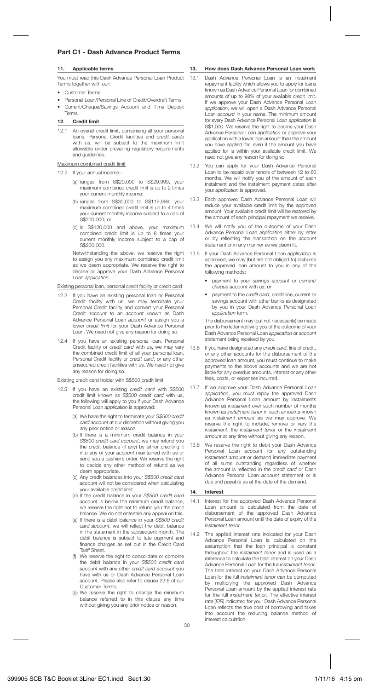## **Part C1 - Dash Advance Product Terms**

#### **11. Applicable terms**

You must read this Dash Advance Personal Loan Product Terms together with our:

- Customer Terms
- Personal Loan/Personal Line of Credit/Overdraft Terms
- Current/Cheque/Savings Account and Time Deposit Terms

## **12. Credit limit**

12.1 An overall credit limit, comprising all your personal loans, Personal Credit facilities and credit cards with us, will be subject to the maximum limit allowable under prevailing regulatory requirements and guidelines.

## Maximum combined credit limit

- 12.2 If your annual income:-
	- (a) ranges from S\$20,000 to S\$29,999, your maximum combined credit limit is up to 2 times your current monthly income;
	- (b) ranges from S\$30,000 to S\$119,999, your maximum combined credit limit is up to 4 times your current monthly income subject to a cap of S\$200,000; or
	- (c) is S\$120,000 and above, your maximum combined credit limit is up to 8 times your current monthly income subject to a cap of S\$200,000.

 Notwithstanding the above, we reserve the right to assign you any maximum combined credit limit as we deem appropriate. We reserve the right to decline or approve your Dash Advance Personal Loan application.

### Existing personal loan, personal credit facility or credit card

- 12.3 If you have an existing personal loan or Personal Credit facility with us, we may terminate your Personal Credit facility and convert your Personal Credit account to an account known as Dash Advance Personal Loan account or assign you a lower credit limit for your Dash Advance Personal Loan. We need not give any reason for doing so.
- 12.4 If you have an existing personal loan, Personal Credit facility or credit card with us, we may vary the combined credit limit of all your personal loan, Personal Credit facility or credit card, or any other unsecured credit facilities with us. We need not give any reason for doing so.

### Existing credit card holder with S\$500 credit limit

- 12.5 If you have an existing credit card with S\$500 credit limit known as S\$500 credit card with us, the following will apply to you if your Dash Advance Personal Loan application is approved:
	- (a) We have the right to terminate your S\$500 credit card account at our discretion without giving you any prior notice or reason.
	- (b) If there is a minimum credit balance in your S\$500 credit card account, we may refund you the credit balance (if any) by either crediting it into any of your account maintained with us or send you a cashier's order. We reserve the right to decide any other method of refund as we deem appropriate.
	- (c) Any credit balances into your S\$500 credit card account will not be considered when calculating your available credit limit.
	- (d) If the credit balance in your S\$500 credit card account is below the minimum credit balance, we reserve the right not to refund you the credit balance. We do not entertain any appeal on this.
	- (e) If there is a debit balance in your S\$500 credit card account, we will reflect the debit balance in the statement in the subsequent month. The debit balance is subject to late payment and finance charges as set out in the Credit Card Tariff Shoot
	- (f) We reserve the right to consolidate or combine the debit balance in your S\$500 credit card account with any other credit card account you have with us or Dash Advance Personal Loan account. Please also refer to clause 23.6 of our Customer Terms.
	- (g) We reserve the right to change the minimum balance referred to in this clause any time without giving you any prior notice or reason.

#### **13. How does Dash Advance Personal Loan work**

- 13.1 Dash Advance Personal Loan is an instalment repayment facility which allows you to apply for loans known as Dash Advance Personal Loan for combined amounts of up to 98% of your available credit limit. If we approve your Dash Advance Personal Loan application, we will open a Dash Advance Personal Loan account in your name. The minimum amount for every Dash Advance Personal Loan application is S\$1,000. We reserve the right to decline your Dash Advance Personal Loan application or approve your application with a lower loan amount than the amount you have applied for, even if the amount you have applied for is within your available credit limit. We need not give any reason for doing so.
- 13.2 You can apply for your Dash Advance Personal Loan to be repaid over tenors of between 12 to 60 months. We will notify you of the amount of each instalment and the instalment payment dates after your application is approved.
- 13.3 Each approved Dash Advance Personal Loan will reduce your available credit limit by the approved amount. Your available credit limit will be restored by the amount of each principal repayment we receive.
- 13.4 We will notify you of the outcome of your Dash Advance Personal Loan application either by letter or by reflecting the transaction on the account statement or in any manner as we deem fit.
- 13.5 If your Dash Advance Personal Loan application is approved, we may (but are not obliged to) disburse the approved loan amount to you in any of the following methods:
	- payment to your savings account or current/ cheque account with us; or
	- payment to the credit card, credit line, current or savings account with other banks as designated by you in your Dash Advance Personal Loan application form.

 The disbursement may (but not necessarily) be made prior to the letter notifying you of the outcome of your Dash Advance Personal Loan application or account statement being received by you.

- 13.6 If you have designated any credit card, line of credit, or any other accounts for the disbursement of the approved loan amount, you must continue to make payments to the above accounts and we are not liable for any overdue amounts, interest or any other fees, costs, or expenses incurred.
- 13.7 If we approve your Dash Advance Personal Loan application, you must repay the approved Dash Advance Personal Loan amount by instalments known as instalment over such number of months known as instalment tenor in such amounts known as *instalment amount* as we may approve. We reserve the right to include, remove or vary the instalment, the instalment tenor or the instalment amount at any time without giving any reason.
- 13.8 We reserve the right to debit your Dash Advance Personal Loan account for any outstanding instalment amount or demand immediate payment of all sums outstanding regardless of whether the amount is reflected in the credit card or Dash Advance Personal Loan account statement or is due and payable as at the date of the demand.

#### **14. Interest**

- 14.1 Interest for the approved Dash Advance Personal Loan amount is calculated from the date of disbursement of the approved Dash Advance Personal Loan amount until the date of expiry of the instalment tenor.
- 14.2 The applied interest rate indicated for your Dash Advance Personal Loan is calculated on the assumption that the loan principal is constant throughout the instalment tenor and is used as a reference to calculate the total interest on your Dash Advance Personal Loan for the full instalment tenor. The total interest on your Dash Advance Personal Loan for the full instalment tenor can be computed by multiplying the approved Dash Advance Personal Loan amount by the applied interest rate for the full *instalment tenor*. The effective interest rate (EIR) indicated for your Dash Advance Personal Loan reflects the true cost of borrowing and takes into account the reducing balance method of interest calculation.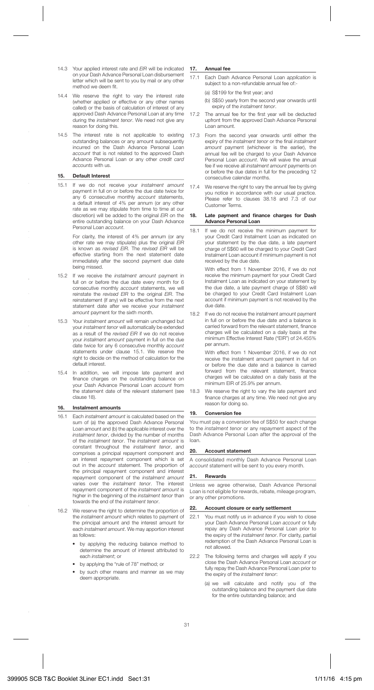- 14.3 Your applied interest rate and EIR will be indicated on your Dash Advance Personal Loan disbursement letter which will be sent to you by mail or any other method we deem fit.
- 14.4 We reserve the right to vary the interest rate (whether applied or effective or any other names called) or the basis of calculation of interest of any approved Dash Advance Personal Loan at any time during the instalment tenor. We need not give any reason for doing this.
- 14.5 The interest rate is not applicable to existing outstanding balances or any amount subsequently incurred on the Dash Advance Personal Loan account that is not related to the approved Dash Advance Personal Loan or any other credit card accounts with us.

#### **15. Default Interest**

15.1 If we do not receive your instalment amount payment in full on or before the due date twice for any 6 consecutive monthly account statements. a default interest of 4% per annum (or any other rate as we may stipulate from time to time at our discretion) will be added to the original EIR on the entire outstanding balance on your Dash Advance Personal Loan account.

> For clarity, the interest of 4% per annum (or any other rate we may stipulate) plus the original EIR is known as revised EIR. The revised EIR will be effective starting from the next statement date immediately after the second payment due date being missed.

- 15.2 If we receive the instalment amount payment in full on or before the due date every month for 6 consecutive monthly account statements, we will reinstate the revised EIR to the original EIR. The reinstatement (if any) will be effective from the next statement date after we receive your instalment amount payment for the sixth month.
- 15.3 Your instalment amount will remain unchanged but your instalment tenor will automatically be extended as a result of the *revised EIR* if we do not receive your instalment amount payment in full on the due date twice for any 6 consecutive monthly account statements under clause 15.1. We reserve the right to decide on the method of calculation for the default interest.
- 15.4 In addition, we will impose late payment and finance charges on the outstanding balance on your Dash Advance Personal Loan account from .<br>the statement date of the relevant statement (see clause 18).

#### **16. Instalment amounts**

- 16.1 Each instalment amount is calculated based on the sum of (a) the approved Dash Advance Personal Loan amount and (b) the applicable interest over the instalment tenor, divided by the number of months of the instalment tenor. The instalment amount is constant throughout the instalment tenor, and comprises a principal repayment component and an interest repayment component which is set out in the account statement. The proportion of the principal repayment component and interest repayment component of the instalment amount varies over the instalment tenor. The interest repayment component of the instalment amount is higher in the beginning of the instalment tenor than towards the end of the instalment tenor.
- 16.2 We reserve the right to determine the proportion of the instalment amount which relates to payment of the principal amount and the interest amount for each instalment amount. We may apportion interest as follows:
	- by applying the reducing balance method to determine the amount of interest attributed to each instalment; or
	- by applying the "rule of 78" method; or
	- by such other means and manner as we may deem appropriate.

#### **17. Annual fee**

17.1 Each Dash Advance Personal Loan application is subject to a non-refundable annual fee of:-

(a) S\$199 for the first year; and

- (b) S\$50 yearly from the second year onwards until expiry of the instalment tenor.
- 17.2 The annual fee for the first year will be deducted upfront from the approved Dash Advance Personal Loan amount.
- 17.3 From the second year onwards until either the expiry of the instalment tenor or the final instalment amount payment (whichever is the earlier), the annual fee will be charged to your Dash Advance Personal Loan account. We will waive the annual fee if we receive all instalment amount payments on or before the due dates in full for the preceding 12 consecutive calendar months.
- 17.4 We reserve the right to vary the annual fee by giving you notice in accordance with our usual practice. Please refer to clauses 38.18 and 7.3 of our Customer Terms.

#### 18. Late payment and finance charges for Dash **Advance Personal Loan**

18.1 If we do not receive the minimum payment for your Credit Card Instalment Loan as indicated on your statement by the due date, a late payment charge of S\$60 will be charged to your Credit Card Instalment Loan account if minimum payment is not received by the due date.

> With effect from 1 November 2016, if we do not receive the minimum payment for your Credit Card Instalment Loan as indicated on your statement by the due date, a late payment charge of S\$80 will be charged to your Credit Card Instalment Loan account if minimum payment is not received by the due date.

18.2 If we do not receive the instalment amount payment in full on or before the due date and a balance is carried forward from the relevant statement, finance charges will be calculated on a daily basis at the minimum Effective Interest Rate ("EIR") of 24.455% per annum.

> With effect from 1 November 2016, if we do not receive the instalment amount payment in full on or before the due date and a balance is carried forward from the relevant statement, finance charges will be calculated on a daily basis at the minimum EIR of 25.9% per annum.

18.3 We reserve the right to vary the late payment and fi nance charges at any time. We need not give any reason for doing so.

#### **19. Conversion fee**

You must pay a conversion fee of S\$50 for each change to the instalment tenor or any repayment aspect of the Dash Advance Personal Loan after the approval of the loan.

#### **20. Account statement**

A consolidated monthly Dash Advance Personal Loan account statement will be sent to you every month.

#### **21. Rewards**

Unless we agree otherwise, Dash Advance Personal Loan is not eligible for rewards, rebate, mileage program, or any other promotions.

## **22. Account closure or early settlement**

- 22.1 You must notify us in advance if you wish to close your Dash Advance Personal Loan account or fully repay any Dash Advance Personal Loan prior to the expiry of the instalment tenor. For clarity, partial redemption of the Dash Advance Personal Loan is not allowed.
- 22.2 The following terms and charges will apply if you close the Dash Advance Personal Loan account or fully repay the Dash Advance Personal Loan prior to the expiry of the instalment tenor:
	- (a) we will calculate and notify you of the outstanding balance and the payment due date for the entire outstanding balance; and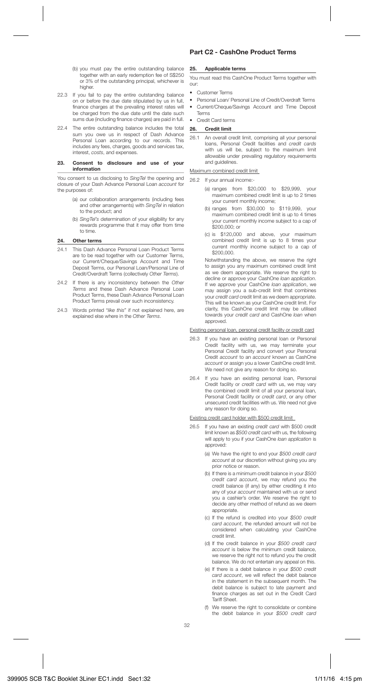- (b) you must pay the entire outstanding balance together with an early redemption fee of S\$250 or 3% of the outstanding principal, whichever is higher.
- 22.3 If you fail to pay the entire outstanding balance on or before the due date stipulated by us in full, finance charges at the prevailing interest rates will be charged from the due date until the date such sums due (including finance charges) are paid in full.
- 22.4 The entire outstanding balance includes the total sum you owe us in respect of Dash Advance Personal Loan according to our records. This includes any fees, charges, goods and services tax, interest, costs, and expenses.

#### **23. Consent to disclosure and use of your information**

You consent to us disclosing to SingTel the opening and closure of your Dash Advance Personal Loan account for the purposes of:

- (a) our collaboration arrangements (including fees and other arrangements) with SingTel in relation to the product; and
- (b) SinaTel's determination of your eligibility for any rewards programme that it may offer from time to time.

## **24. Other terms**

- 24.1 This Dash Advance Personal Loan Product Terms are to be read together with our Customer Terms, our Current/Cheque/Savings Account and Time Deposit Terms, our Personal Loan/Personal Line of Credit/Overdraft Terms (collectively Other Terms).
- 24.2 If there is any inconsistency between the Other Terms and these Dash Advance Personal Loan Product Terms, these Dash Advance Personal Loan Product Terms prevail over such inconsistency.
- 24.3 Words printed "like this" if not explained here, are explained else where in the Other Terms.

## **Part C2 - CashOne Product Terms**

## **25. Applicable terms**

You must read this CashOne Product Terms together with our:

- Customer Terms
- Personal Loan/ Personal Line of Credit/Overdraft Terms
- Current/Cheque/Savings Account and Time Deposit Terms
- Credit Card terms

### **26. Credit limit**

26.1 An overall credit limit, comprising all your personal loans, Personal Credit facilities and credit cards with us will be, subject to the maximum limit allowable under prevailing regulatory requirements and guidelines.

## Maximum combined credit limit

26.2 If your annual income:-

- (a) ranges from \$20,000 to \$29,999, your maximum combined credit limit is up to 2 times your current monthly income;
- (b) ranges from \$30,000 to \$119,999, your maximum combined credit limit is up to 4 times your current monthly income subject to a cap of \$200,000; or
- (c) is \$120,000 and above, your maximum combined credit limit is up to 8 times your current monthly income subject to a cap of \$200,000.

 Notwithstanding the above, we reserve the right to assign you any maximum combined credit limit as we deem appropriate. We reserve the right to decline or approve your CashOne loan application. If we approve your CashOne loan application, we may assign you a sub-credit limit that combines your credit card credit limit as we deem appropriate. This will be known as your CashOne credit limit. For clarity, this CashOne credit limit may be utilised towards your credit card and CashOne loan when approved.

## Existing personal loan, personal credit facility or credit card

- 26.3 If you have an existing personal loan or Personal Credit facility with us, we may terminate your Personal Credit facility and convert your Personal Credit account to an account known as CashOne account or assign you a lower CashOne credit limit. We need not give any reason for doing so.
- 26.4 If you have an existing personal loan, Personal Credit facility or credit card with us, we may vary the combined credit limit of all your personal loan, Personal Credit facility or credit card, or any other unsecured credit facilities with us. We need not give any reason for doing so.

## Existing credit card holder with \$500 credit limit

- 26.5 If you have an existing credit card with \$500 credit limit known as \$500 credit card with us, the following will apply to you if your CashOne loan application is approved:
	- (a) We have the right to end your \$500 credit card account at our discretion without giving you any prior notice or reason.
	- (b) If there is a minimum credit balance in your \$500 credit card account, we may refund you the credit balance (if any) by either crediting it into any of your account maintained with us or send you a cashier's order. We reserve the right to decide any other method of refund as we deem appropriate.
	- (c) If the refund is credited into your \$500 credit card account, the refunded amount will not be considered when calculating your CashOne credit limit.
	- (d) If the credit balance in your \$500 credit card account is below the minimum credit balance, we reserve the right not to refund you the credit balance. We do not entertain any appeal on this.
	- (e) If there is a debit balance in your \$500 credit card account, we will reflect the debit balance in the statement in the subsequent month. The debit balance is subject to late payment and finance charges as set out in the Credit Card manoo ona<br>Tariff Sheet
	- (f) We reserve the right to consolidate or combine the debit balance in your \$500 credit card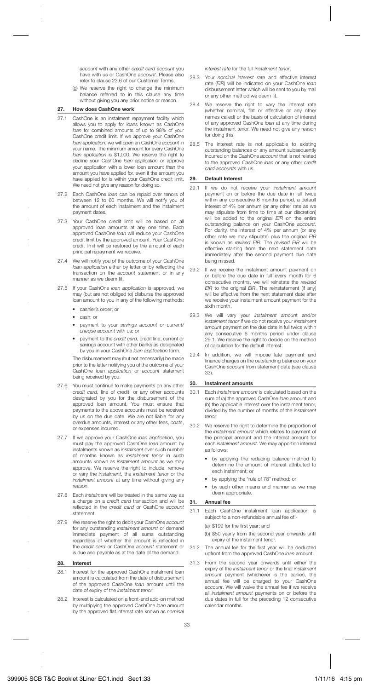account with any other credit card account you have with us or CashOne account. Please also refer to clause 23.6 of our Customer Terms.

(g) We reserve the right to change the minimum balance referred to in this clause any time without giving you any prior notice or reason.

## **27. How does CashOne work**

- 27.1 CashOne is an instalment repayment facility which allows you to apply for loans known as CashOne loan for combined amounts of up to 98% of your CashOne credit limit. If we approve your CashOne loan application, we will open an CashOne account in your name. The minimum amount for every CashOne loan application is \$1,000. We reserve the right to decline your CashOne *loan application* or approve your application with a lower loan amount than the amount you have applied for, even if the amount you have applied for is within your CashOne credit limit. We need not give any reason for doing so.
- 27.2 Each CashOne loan can be repaid over tenors of between 12 to 60 months. We will notify you of the amount of each instalment and the instalment payment dates.
- 27.3 Your CashOne credit limit will be based on all approved loan amounts at any one time. Each approved CashOne loan will reduce your CashOne credit limit by the approved amount. Your CashOne credit limit will be restored by the amount of each principal repayment we receive.
- 27.4 We will notify you of the outcome of your CashOne loan application either by letter or by reflecting the transaction on the account statement or in any manner as we deem fit.
- 27.5 If your CashOne loan application is approved, we may (but are not obliged to) disburse the approved loan amount to you in any of the following methods:
	- cashier's order; or
	- cash; or
	- payment to your savings account or current/ cheque account with us; or
	- payment to the credit card, credit line, current or savings account with other banks as designated by you in your CashOne loan application form.

 The disbursement may (but not necessarily) be made prior to the letter notifying you of the outcome of your CashOne loan application or account statement being received by you.

- 27.6 You must continue to make payments on any other credit card, line of credit, or any other accounts designated by you for the disbursement of the approved loan amount. You must ensure that payments to the above accounts must be received by us on the due date. We are not liable for any overdue amounts, interest or any other fees, costs, or expenses incurred.
- 27.7 If we approve your CashOne loan application, you must pay the approved CashOne loan amount by instalments known as instalment over such number of months known as instalment tenor in such amounts known as instalment amount as we may approve. We reserve the right to include, remove or vary the instalment, the instalment tenor or the instalment amount at any time without giving any reason.
- 27.8 Each *instalment will be treated in the same way as* a charge on a credit card transaction and will be reflected in the credit card or CashOne account statement.
- 27.9 We reserve the right to debit your CashOne account for any outstanding instalment amount or demand immediate payment of all sums outstanding regardless of whether the amount is reflected in the credit card or CashOne account statement or is due and payable as at the date of the demand.

#### **28. Interest**

- 28.1 Interest for the approved CashOne instalment loan amount is calculated from the date of disbursement of the approved CashOne loan amount until the date of expiry of the instalment tenor.
- 28.2 Interest is calculated on a front-end add-on method by multiplying the approved CashOne loan amount by the approved flat interest rate known as nominal

interest rate for the full instalment tenor.

- 28.3 Your nominal interest rate and effective interest rate (EIR) will be indicated on your CashOne loan disbursement letter which will be sent to you by mail or any other method we deem fit.
- 28.4 We reserve the right to vary the interest rate we reserve the right to vary the interest rate<br>(whether nominal flat or effective or any other names called) or the basis of calculation of interest of any approved CashOne loan at any time during the instalment tenor. We need not give any reason for doing this.
- 28.5 The interest rate is not applicable to existing outstanding balances or any amount subsequently incurred on the CashOne account that is not related to the approved CashOne *loan* or any other credit card accounts with us.

#### **29. Default Interest**

- 29.1 If we do not receive your instalment amount payment on or before the due date in full twice within any consecutive 6 months period, a default interest of 4% per annum (or any other rate as we may stipulate from time to time at our discretion) will be added to the original EIR on the entire outstanding balance on your CashOne account. For clarity, the interest of 4% per annum (or any other rate we may stipulate) plus the original EIR is known as revised EIR. The revised EIR will be effective starting from the next statement date immediately after the second payment due date being missed.
- 29.2 If we receive the instalment amount payment on or before the due date in full every month for 6 consecutive months, we will reinstate the revised EIR to the original EIR. The reinstatement (if any) will be effective from the next statement date after we receive your instalment amount payment for the sixth month.
- 29.3 We will vary your *instalment amount* and/or instalment tenor if we do not receive your instalment amount payment on the due date in full twice within any consecutive 6 months period under clause 29.1. We reserve the right to decide on the method of calculation for the default interest.
- 29.4 In addition, we will impose late payment and finance charges on the outstanding balance on your CashOne account from statement date (see clause 33).

#### **30. Instalment amounts**

- 30.1 Each instalment amount is calculated based on the sum of (a) the approved CashOne loan amount and (b) the applicable interest over the instalment tenor, divided by the number of months of the instalment tenor.
- 30.2 We reserve the right to determine the proportion of the instalment amount which relates to payment of the principal amount and the interest amount for each instalment amount. We may apportion interest as follows:
	- by applying the reducing balance method to determine the amount of interest attributed to each instalment; or
	- by applying the "rule of 78" method; or
	- by such other means and manner as we may deem appropriate.

## **31. Annual fee**

- 31.1 Each CashOne instalment loan application is subject to a non-refundable annual fee of:-
	- (a) \$199 for the first year; and
	- (b) \$50 yearly from the second year onwards until expiry of the instalment tenor.
- 31.2 The annual fee for the first year will be deducted upfront from the approved CashOne loan amount.
- 31.3 From the second year onwards until either the expiry of the *instalment tenor* or the final *instalment* amount payment (whichever is the earlier), the annual fee will be charged to your CashOne account. We will waive the annual fee if we receive all *instalment amount* payments on or before the due dates in full for the preceding 12 consecutive calendar months.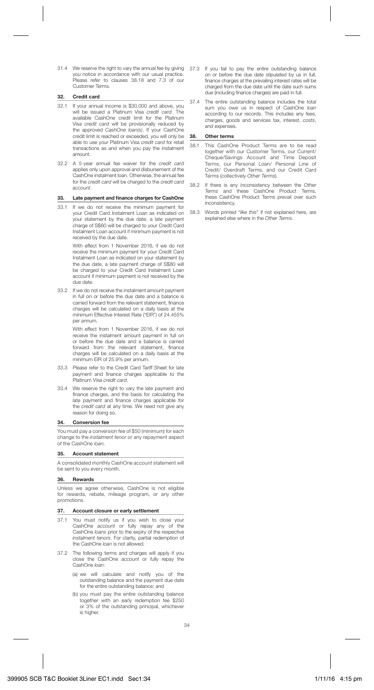31.4 We reserve the right to vary the annual fee by giving 37.3 If you fail to pay the entire outstanding balance you notice in accordance with our usual practice. Please refer to clauses 38.18 and 7.3 of our Customer Terms.

#### **32. Credit card**

- 32.1 If your annual income is \$30,000 and above, you will be issued a Platinum Visa credit card. available CashOne credit limit for the Platinum Visa credit card will be provisionally reduced by the approved CashOne loan(s). If your CashOne credit limit is reached or exceeded, you will only be able to use your Platinum Visa credit card for retail transactions as and when you pay the instalment amount.
- 32.2 A 5-year annual fee waiver for the credit card applies only upon approval and disbursement of the CashOne instalment loan. Otherwise, the annual fee for the credit card will be charged to the credit card account.

#### 33. Late payment and finance charges for CashOne

33.1 If we do not receive the minimum payment for your Credit Card Instalment Loan as indicated on your statement by the due date, a late payment charge of S\$60 will be charged to your Credit Card Instalment Loan account if minimum payment is not received by the due date.

> With effect from 1 November 2016, if we do not receive the minimum payment for your Credit Card Instalment Loan as indicated on your statement by the due date, a late payment charge of S\$80 will be charged to your Credit Card Instalment Loan account if minimum payment is not received by the due date.

33.2 If we do not receive the instalment amount payment in full on or before the due date and a balance is carried forward from the relevant statement, finance charges will be calculated on a daily basis at the minimum Effective Interest Rate ("EIR") of 24.455% per annum.

> With effect from 1 November 2016, if we do not receive the instalment amount payment in full on or before the due date and a balance is carried forward from the relevant statement, finance charges will be calculated on a daily basis at the minimum EIR of 25.9% per annum.

- 33.3 Please refer to the Credit Card Tariff Sheet for late payment and finance charges applicable to the Platinum Visa credit card.
- 33.4 We reserve the right to vary the late payment and fi nance charges, and the basis for calculating the late payment and finance charges applicable for the credit card at any time. We need not give any reason for doing so.

#### **34. Conversion fee**

You must pay a conversion fee of \$50 (minimum) for each change to the instalment tenor or any repayment aspect of the CashOne loan.

#### **35. Account statement**

A consolidated monthly CashOne account statement will be sent to you every month.

#### **36. Rewards**

Unless we agree otherwise, CashOne is not eligible for rewards, rebate, mileage program, or any other promotions.

#### **37. Account closure or early settlement**

- 37.1 You must notify us if you wish to close your CashOne account or fully repay any of the CashOne loans prior to the expiry of the respective instalment tenors. For clarity, partial redemption of the CashOne loan is not allowed.
- 37.2 The following terms and charges will apply if you close the CashOne account or fully repay the CashOne *loan*:
	- (a) we will calculate and notify you of the outstanding balance and the payment due date for the entire outstanding balance; and
	- (b) you must pay the entire outstanding balance together with an early redemption fee \$250 or 3% of the outstanding principal, whichever is higher.
- on or before the due date stipulated by us in full, finance charges at the prevailing interest rates will be charged from the due date until the date such sums due (including finance charges) are paid in full.
- 37.4 The entire outstanding balance includes the total sum you owe us in respect of CashOne loan according to our records. This includes any fees, charges, goods and services tax, interest, costs, and expenses.

#### **38. Other terms**

- 38.1 This CashOne Product Terms are to be read together with our Customer Terms, our Current/ Cheque/Savings Account and Time Deposit Terms, our Personal Loan/ Personal Line of Credit/ Overdraft Terms, and our Credit Card Terms (collectively Other Terms).
- 38.2 If there is any inconsistency between the Other Terms and these CashOne Product Terms, these CashOne Product Terms prevail over such inconsistency.
- 38.3 Words printed "like this" if not explained here, are explained else where in the Other Terms.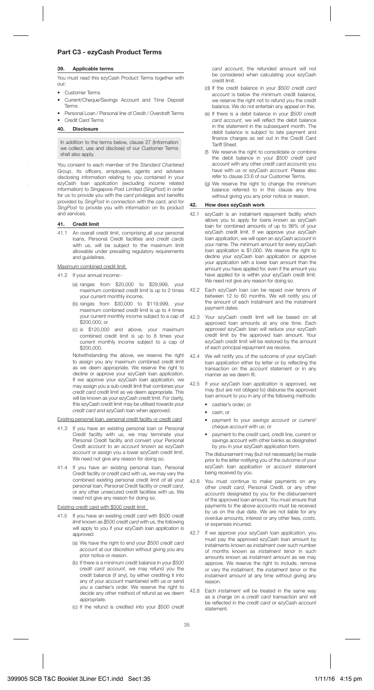## **Part C3 - ezyCash Product Terms**

#### **39. Applicable terms**

You must read this ezyCash Product Terms together with our:

- Customer Terms
- Current/Cheque/Savings Account and Time Deposit Terms
- Personal Loan / Personal line of Credit / Overdraft Terms
- Credit Card Terms

## **40. Disclosure**

In addition to the terms below, clause 27 (Information we collect, use and disclose) of our Customer Terms shall also apply.

You consent to each member of the Standard Chartered Group, its officers, employees, agents and advisers disclosing information relating to you contained in your ezyCash loan application (excluding income related information) to Singapore Post Limited (SingPost) in order for us to provide you with the card privileges and benefits provided by SingPost in connection with the card, and for SingPost to provide you with information on its product and services.

#### **41. Credit limit**

41.1 An overall credit limit, comprising all your personal loans, Personal Credit facilities and credit cards with us, will be subject to the maximum limit allowable under prevailing regulatory requirements and quidelines.

#### Maximum combined credit limit

41.2 If your annual income:-

- (a) ranges from \$20,000 to \$29,999, your maximum combined credit limit is up to 2 times your current monthly income;
- (b) ranges from \$30,000 to \$119,999, your maximum combined credit limit is up to 4 times your current monthly income subject to a cap of \$200,000; or
- (c) is \$120,000 and above, your maximum combined credit limit is up to 8 times your current monthly income subject to a cap of **\$200,000.**

 Notwithstanding the above, we reserve the right to assign you any maximum combined credit limit as we deem appropriate. We reserve the right to decline or appropriate. We receive the right to decline or approve your ezyCash loan *application*. If we approve your ezyCash loan application, we may assign you a sub-credit limit that combines your credit card credit limit as we deem appropriate. This will be known as your ezyCash credit limit. For clarity, this ezyCash credit limit may be utilised towards your credit card and ezyCash loan when approved.

#### Existing personal loan, personal credit facility or credit card

- 41.3 If you have an existing personal loan or Personal Credit facility with us, we may terminate your Personal Credit facility and convert your Personal Credit account to an account known as ezyCash account or assign you a lower ezyCash credit limit. We need not give any reason for doing so.
- 41.4 If you have an existing personal loan, Personal Credit facility or credit card with us, we may vary the combined existing personal credit limit of all your personal loan, Personal Credit facility or credit card, or any other unsecured credit facilities with us. We need not give any reason for doing so.

#### Existing credit card with \$500 credit limit

- 41.5 If you have an existing credit card with \$500 credit limit known as \$500 credit card with us, the following will apply to you if your ezyCash loan application is approved:
	- (a) We have the right to end your \$500 credit card account at our discretion without giving you any prior notice or reason.
	- (b) If there is a minimum credit balance in your \$500 credit card account, we may refund you the credit balance (if any), by either crediting it into any of your *account* maintained with us or send you a cashier's order. We reserve the right to decide any other method of refund as we deem appropriate.
	- (c) If the refund is credited into your \$500 credit

card account, the refunded amount will not be considered when calculating your ezyCash credit limit.

- (d) If the credit balance in your \$500 credit card account is below the minimum credit balance, we reserve the right not to refund you the credit balance. We do not entertain any appeal on this.
- (e) If there is a debit balance in your \$500 credit card account, we will reflect the debit balance in the statement in the subsequent month. The debit balance is subject to late payment and finance charges as set out in the Credit Card Tariff Sheet.
- (f) We reserve the right to consolidate or combine the debit balance in your \$500 credit card account with any other credit card accounts you have with us or ezyCash account. Please also refer to clause 23.6 of our Customer Terms.
- (g) We reserve the right to change the minimum balance referred to in this clause any time without giving you any prior notice or reason.

#### **42. How does ezyCash work**

- 42.1 ezyCash is an instalment repayment facility which allows you to apply for loans known as ezyCash loan for combined amounts of up to 98% of your ezyCash credit limit. If we approve your ezyCash loan application, we will open an ezyCash account in your name. The minimum amount for every ezyCash loan application is \$1,000. We reserve the right to decline your ezyCash loan application or approve your application with a lower loan amount than the amount you have applied for, even if the amount you have applied for is within your ezyCash credit limit. We need not give any reason for doing so.
- 42.2 Each ezyCash loan can be repaid over tenors of between 12 to 60 months. We will notify you of the amount of each instalment and the instalment payment dates.
- 42.3 Your ezyCash credit limit will be based on all approved loan amounts at any one time. Each approved ezyCash loan will reduce your ezyCash credit limit by the approved loan amount. Your ezyCash credit limit will be restored by the amount of each principal repayment we receive.
- 42.4 We will notify you of the outcome of your ezyCash loan *application* either by letter or by reflecting the transaction on the account statement or in any manner as we deem fit.
- 42.5 If your ezyCash loan *application* is approved, we may (but are not obliged to) disburse the approved loan amount to you in any of the following methods:
	- cashier's order; or
	- cash; or
	- payment to your savings account or current/ cheque account with us; or
	- payment to the credit card, credit line, current or savings account with other banks as designated by you in your ezyCash application form.

 The disbursement may (but not necessarily) be made prior to the letter notifying you of the outcome of your ezyCash loan application or account statement being received by you.

- 42.6 You must continue to make payments on any other credit card, Personal Credit, or any other accounts designated by you for the disbursement of the approved loan amount. You must ensure that payments to the above accounts must be received by us on the due date. We are not liable for any overdue amounts, interest or any other fees, costs, or expenses incurred.
- 42.7 If we approve your ezyCash loan application, vou must pay the approved ezyCash loan amount by instalments known as instalment over such number of months known as instalment tenor in such amounts known as instalment amount as we may approve. We reserve the right to include, remove or vary the instalment, the instalment tenor or the instalment amount at any time without giving any reason.
- 42.8 Each instalment will be treated in the same way as a charge on a credit card transaction and will be reflected in the credit card or ezyCash account statement.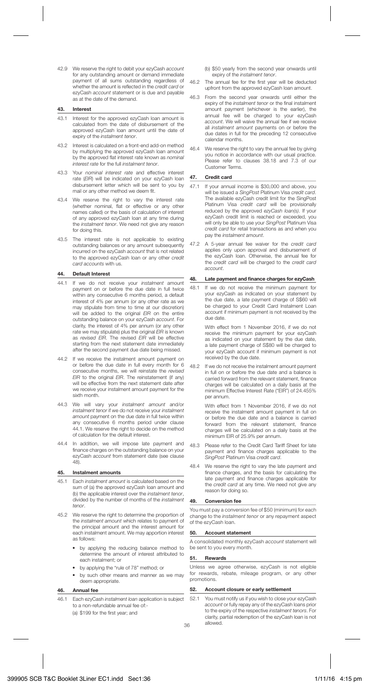42.9 We reserve the right to debit your ezyCash account for any outstanding amount or demand immediate payment of all sums outstanding regardless of whether the amount is reflected in the credit card or ezyCash account statement or is due and payable as at the date of the demand.

## **43. Interest**

- 43.1 Interest for the approved ezyCash loan amount is calculated from the date of disbursement of the approved ezyCash loan amount until the date of expiry of the *instalment* tenor.
- 43.2 Interest is calculated on a front-end add-on method by multiplying the approved ezyCash loan amount by the approved flat interest rate known as nominal interest rate for the full instalment tenor.
- 43.3 Your nominal interest rate and effective interest rate (EIR) will be indicated on your ezyCash loan disbursement letter which will be sent to you by mail or any other method we deem fit.
- 43.4 We reserve the right to vary the interest rate (whether nominal, flat or effective or any other names called) or the basis of calculation of interest of any approved ezyCash loan at any time during the *instalment tenor*. We need not give any reason for doing this.
- 43.5 The interest rate is not applicable to existing outstanding balances or any amount subsequently incurred on the ezyCash account that is not related to the approved ezyCash loan or any other credit card accounts with us.

#### **44. Default Interest**

- 44.1 If we do not receive your *instalment* amount payment on or before the due date in full twice within any consecutive 6 months period, a default interest of 4% per annum (or any other rate as we may stipulate from time to time at our discretion) will be added to the original EIR on the entire outstanding balance on your ezyCash account. For clarity, the interest of 4% per annum (or any other rate we may stipulate) plus the original EIR is known as revised EIR. The revised EIR will be effective starting from the next statement date immediately after the second payment due date being missed.
- 44.2 If we receive the instalment amount payment on or before the due date in full every month for 6 consecutive months, we will reinstate the revised EIR to the original EIR. The reinstatement (if any) will be effective from the next statement date after we receive your instalment amount payment for the sixth month.
- 44.3 We will vary your instalment amount and/or instalment tenor if we do not receive your instalment amount payment on the due date in full twice within any consecutive 6 months period under clause 44.1. We reserve the right to decide on the method of calculation for the default interest.
- 44.4 In addition, we will impose late payment and finance charges on the outstanding balance on your ezyCash account from statement date (see clause 48).

#### **45. Instalment amounts**

- 45.1 Each *instalment amount* is calculated based on the sum of (a) the approved ezyCash loan amount and (b) the applicable interest over the instalment tenor, divided by the number of months of the instalment tenor.
- 45.2 We reserve the right to determine the proportion of the instalment amount which relates to payment of the principal amount and the interest amount for each instalment amount. We may apportion interest as follows:
	- by applying the reducing balance method to determine the amount of interest attributed to each instalment; or
	- by applying the "rule of 78" method; or
	- by such other means and manner as we may deem appropriate.

## **46. Annual fee**

46.1 Each ezyCash *instalment loan* application is subject to a non-refundable annual fee of:- (a) \$199 for the first year; and

(b) \$50 yearly from the second year onwards until expiry of the *instalment tenor*.

- 46.2 The annual fee for the first year will be deducted upfront from the approved ezyCash loan amount.
- 46.3 From the second year onwards until either the expiry of the instalment tenor or the final instalment amount payment (whichever is the earlier), the annual fee will be charged to your ezyCash account. We will waive the annual fee if we receive all instalment amount payments on or before the due dates in full for the preceding 12 consecutive calendar months.
- 46.4 We reserve the right to vary the annual fee by giving you notice in accordance with our usual practice. Please refer to clauses 38.18 and 7.3 of our Customer Terms.

## **47. Credit card**

- 47.1 If your annual income is \$30,000 and above, you will be issued a SingPost Platinum Visa credit card. The available ezyCash credit limit for the SingPost Platinum Visa *credit card* will be provisionally reduced by the approved ezyCash loan(s). If your ezyCash credit limit is reached or exceeded, you will only be able to use your SingPost Platinum Visa credit card for retail transactions as and when you pay the instalment amount.
- 47.2 A 5-year annual fee waiver for the credit card applies only upon approval and disbursement of the ezyCash loan. Otherwise, the annual fee for the credit card will be charged to the credit card account.

## **48. Late payment and fi nance charges for ezyCash**

48.1 If we do not receive the minimum payment for your ezyCash as indicated on your statement by the due date, a late payment charge of S\$60 will be charged to your Credit Card Instalment Loan account if minimum payment is not received by the due date.

> With effect from 1 November 2016, if we do not receive the minimum payment for your ezyCash as indicated on your statement by the due date, a late payment charge of S\$80 will be charged to your ezyCash account if minimum payment is not received by the due date.

48.2 If we do not receive the instalment amount payment in full on or before the due date and a balance is carried forward from the relevant statement, finance charges will be calculated on a daily basis at the minimum Effective Interest Rate ("EIR") of 24.455% per annum.

> With effect from 1 November 2016, if we do not receive the instalment amount payment in full on or before the due date and a balance is carried forward from the relevant statement, finance charges will be calculated on a daily basis at the minimum EIR of 25.9% per annum.

- 48.3 Please refer to the Credit Card Tariff Sheet for late payment and finance charges applicable to the SingPost Platinum Visa credit card.
- 48.4 We reserve the right to vary the late payment and finance charges, and the basis for calculating the late payment and finance charges applicable for the credit card at any time. We need not give any reason for doing so.

## **49. Conversion fee**

You must pay a conversion fee of \$50 (minimum) for each change to the instalment tenor or any repayment aspect of the ezyCash loan.

## **50. Account statement**

A consolidated monthly ezyCash account statement will be sent to you every month.

## **51. Rewards**

Unless we agree otherwise, ezyCash is not eligible for rewards, rebate, mileage program, or any other promotions.

## **52. Account closure or early settlement**

52.1 You must notify us if you wish to close your ezyCash account or fully repay any of the ezyCash loans prior to the expiry of the respective instalment tenors. For clarity, partial redemption of the ezyCash loan is not allowed.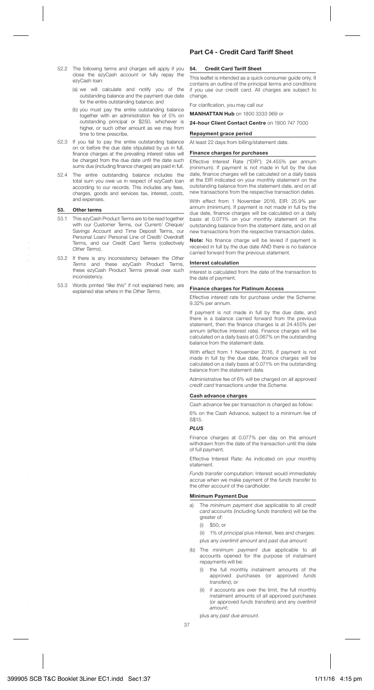- 52.2 The following terms and charges will apply if you close the ezyCash account or fully repay the ezyCash loan:
	- (a) we will calculate and notify you of the outstanding balance and the payment due date for the entire outstanding balance; and
	- (b) you must pay the entire outstanding balance together with an administration fee of 5% on outstanding principal or \$250, whichever is higher, or such other amount as we may from time to time prescribe.
- 52.3 If you fail to pay the entire outstanding balance on or before the due date stipulated by us in full, finance charges at the prevailing interest rates will be charged from the due date until the date such sums due (including finance charges) are paid in full.
- 52.4 The entire outstanding balance includes the total sum you owe us in respect of ezyCash loan according to our records. This includes any fees, charges, goods and services tax, interest, costs, and expenses.

#### **53. Other terms**

- 53.1 This ezyCash Product Terms are to be read together with our Customer Terms, our Current/ Cheque/ Savings Account and Time Deposit Terms, our Personal Loan/ Personal Line of Credit/ Overdraft Terms, and our Credit Card Terms (collectively Other Terms).
- 53.2 If there is any inconsistency between the Other Terms and these ezyCash Product Terms, these ezyCash Product Terms prevail over such inconsistency.
- 53.3 Words printed "like this" if not explained here, are explained else where in the Other Terms.

## **Part C4 - Credit Card Tariff Sheet**

## **54. Credit Card Tariff Sheet**

This leaflet is intended as a quick consumer guide only. It contains an outline of the principal terms and conditions if you use our credit card. All charges are subject to change.

For clarification, you may call our

**MANHATTAN Hub** on 1800 3333 969 or

**24-hour Client Contact Centre** on 1800 747 7000

#### **Repayment grace period**

At least 22 days from billing/statement date.

#### **Finance charges for purchases**

Effective Interest Rate ("EIR"): 24.455% per annum (minimum). If payment is not made in full by the due date, finance charges will be calculated on a daily basis at the EIR indicated on your monthly statement on the outstanding balance from the statement date, and on all new transactions from the respective transaction dates.

With effect from 1 November 2016, EIR: 25.9% per annum (minimum). If payment is not made in full by the due date, finance charges will be calculated on a daily basis at 0.071% on your monthly statement on the outstanding balance from the statement date, and on all new transactions from the respective transaction dates.

Note: No finance charge will be levied if payment is received in full by the due date AND there is no balance carried forward from the previous statement.

#### **Interest calculation**

Interest is calculated from the date of the transaction to the date of payment.

#### **Finance charges for Platinum Access**

Effective interest rate for purchase under the Scheme: 9.32% per annum.

If payment is not made in full by the due date, and there is a balance carried forward from the previous statement, then the finance charges is at 24.455% per annum (effective interest rate). Finance charges will be calculated on a daily basis at 0.067% on the outstanding balance from the statement date.

With effect from 1 November 2016, if payment is not made in full by the due date, finance charges will be calculated on a daily basis at 0.071% on the outstanding balance from the statement date.

Administrative fee of 6% will be charged on all approved credit card transactions under the Scheme.

#### **Cash advance charges**

Cash advance fee per transaction is charged as follow:

6% on the Cash Advance, subject to a minimum fee of S\$15.

## *PLUS*

Finance charges at 0.077% per day on the amount withdrawn from the date of the transaction until the date of full payment.

Effective Interest Rate: As indicated on your monthly statement.

Funds transfer computation: Interest would immediately accrue when we make payment of the funds transfer to the other account of the cardholder.

## **Minimum Payment Due**

- a) The minimum nayment due applicable to all credit card accounts (including funds transfers) will be the greater of:
	- $(i)$   $$50; or$
	- (ii) 1% of *principal* plus interest, fees and charges; plus any overlimit amount and past due amount.
- (b) The minimum payment due applicable to all accounts opened for the purpose of instalment repayments will be:
	- (i) the full monthly instalment amounts of the approved purchases (or approved funds transfers); or
	- (ii) if accounts are over the limit, the full monthly instalment amounts of all approved purchases (or approved funds transfers) and any overlimit amount;

plus any past due amount.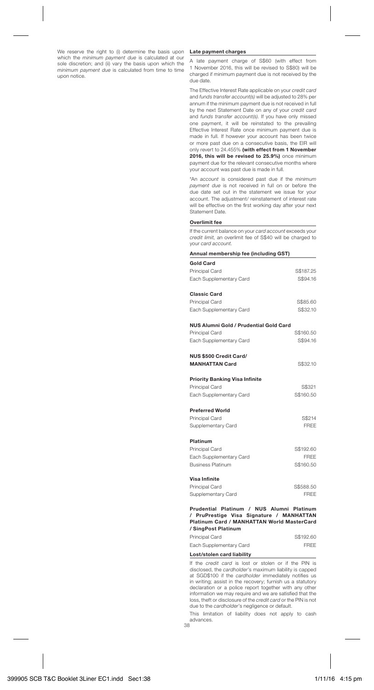We reserve the right to (i) determine the basis upon which the minimum payment due is calculated at our sole discretion; and (ii) vary the basis upon which the minimum payment due is calculated from time to time upon notice.

#### **Late payment charges**

A late payment charge of S\$60 (with effect from 1 November 2016, this will be revised to S\$80) will be charged if minimum payment due is not received by the due date.

The Effective Interest Rate applicable on your credit card and funds transfer account(s) will be adjusted to 28% per annum if the minimum payment due is not received in full by the next Statement Date on any of your credit card and *funds transfer account(s)*. If you have only missed one payment, it will be reinstated to the prevailing Effective Interest Rate once minimum payment due is made in full. If however your account has been twice or more past due on a consecutive basis, the EIR will only revert to 24.455% **(with effect from 1 November 2016, this will be revised to 25.9%)** once minimum payment due for the relevant consecutive months where your account was past due is made in full.

\*An account is considered past due if the minimum payment due is not received in full on or before the due date set out in the statement we issue for your account. The adjustment/ reinstatement of interest rate will be effective on the first working day after your next Statement Date.

#### **Overlimit fee**

If the current balance on your card account exceeds your credit limit, an overlimit fee of S\$40 will be charged to your card account.

| Annual membership fee (including GST)                                                                                                                      |             |
|------------------------------------------------------------------------------------------------------------------------------------------------------------|-------------|
| <b>Gold Card</b>                                                                                                                                           |             |
| Principal Card                                                                                                                                             | S\$187.25   |
| Each Supplementary Card                                                                                                                                    | S\$94.16    |
| <b>Classic Card</b>                                                                                                                                        |             |
| Principal Card                                                                                                                                             | S\$85.60    |
| Each Supplementary Card                                                                                                                                    | S\$32.10    |
| NUS Alumni Gold / Prudential Gold Card                                                                                                                     |             |
| Principal Card                                                                                                                                             | S\$160.50   |
| Each Supplementary Card                                                                                                                                    | S\$94.16    |
| NUS \$500 Credit Card/                                                                                                                                     |             |
| <b>MANHATTAN Card</b>                                                                                                                                      | S\$32.10    |
| <b>Priority Banking Visa Infinite</b>                                                                                                                      |             |
| Principal Card                                                                                                                                             | S\$321      |
| Each Supplementary Card                                                                                                                                    | S\$160.50   |
| <b>Preferred World</b>                                                                                                                                     |             |
| Principal Card                                                                                                                                             | S\$214      |
| Supplementary Card                                                                                                                                         | <b>FRFF</b> |
| Platinum                                                                                                                                                   |             |
| Principal Card                                                                                                                                             | S\$192.60   |
| Each Supplementary Card                                                                                                                                    | FRFF        |
| <b>Business Platinum</b>                                                                                                                                   | S\$160.50   |
| Visa Infinite                                                                                                                                              |             |
| Principal Card                                                                                                                                             | S\$588.50   |
| Supplementary Card                                                                                                                                         | <b>FRFF</b> |
| Prudential Platinum / NUS Alumni Platinum<br>/ PruPrestige Visa Signature / MANHATTAN<br>Platinum Card / MANHATTAN World MasterCard<br>/ CineDoot Distinum |             |

| Principal Card          | S\$192.60   |
|-------------------------|-------------|
| Each Supplementary Card | <b>FRFF</b> |

#### **Lost/stolen card liability**

If the credit card is lost or stolen or if the PIN is disclosed, the cardholder's maximum liability is capped at SGD\$100 if the cardholder immediately notifies us in writing; assist in the recovery; furnish us a statutory declaration or a police report together with any other information we may require and we are satisfied that the loss, theft or disclosure of the credit card or the PIN is not due to the cardholder's negligence or default.

This limitation of liability does not apply to cash advances.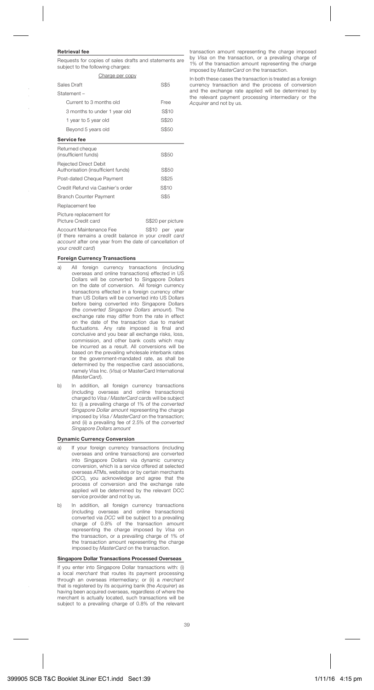## **Retrieval fee**

Requests for copies of sales drafts and statements are subject to the following charges:

| Charge per copy                                             |       |
|-------------------------------------------------------------|-------|
| Sales Draft                                                 | S\$5  |
| Statement-                                                  |       |
| Current to 3 months old                                     | Free  |
| 3 months to under 1 year old                                | S\$10 |
| 1 year to 5 year old                                        | S\$20 |
| Bevond 5 years old                                          | S\$50 |
| Service fee                                                 |       |
| Returned cheque<br>(insufficient funds)                     | S\$50 |
| Rejected Direct Debit<br>Authorisation (insufficient funds) | S\$50 |
| Post-dated Cheque Payment                                   | S\$25 |
| Credit Refund via Cashier's order                           | S\$10 |

#### Replacement fee

| Picture replacement for |                   |
|-------------------------|-------------------|
| Picture Credit card     | S\$20 per picture |

Branch Counter Payment S\$5

Account Maintenance Fee S\$10 per year (if there remains a credit balance in your credit card account after one year from the date of cancellation of your credit card)

#### **Foreign Currency Transactions**

- a) All foreign currency transactions (including overseas and online transactions) effected in US Dollars will be converted to Singapore Dollars on the date of conversion. All foreign currency transactions effected in a foreign currency other than US Dollars will be converted into US Dollars before being converted into Singapore Dollars (the converted Singapore Dollars amount). The exchange rate may differ from the rate in effect on the date of the transaction due to market en the date of the transaction due to maine. conclusive and you bear all exchange risks, loss, commission, and other bank costs which may be incurred as a result. All conversions will be based on the prevailing wholesale interbank rates or the government-mandated rate, as shall be determined by the respective card associations, namely Visa Inc. (Visa) or MasterCard International (MasterCard).
- b) In addition, all foreign currency transactions (including overseas and online transactions) charged to Visa / MasterCard cards will be subject to: (i) a prevailing charge of 1% of the converted Singapore Dollar amount representing the charge imposed by Visa / MasterCard on the transaction; and (ii) a prevailing fee of 2.5% of the converted Singapore Dollars amount

#### **Dynamic Currency Conversion**

- a) If your foreign currency transactions (including overseas and online transactions) are converted into Singapore Dollars via dynamic currency conversion, which is a service offered at selected overseas ATMs, websites or by certain merchants (DCC), you acknowledge and agree that the process of conversion and the exchange rate applied will be determined by the relevant DCC service provider and not by us.
- b) In addition, all foreign currency transactions (including overseas and online transactions) converted via DCC will be subject to a prevailing charge of 0.8% of the transaction amount representing the charge imposed by Visa on the transaction, or a prevailing charge of 1% of the transaction amount representing the charge imposed by MasterCard on the transaction.

#### **Singapore Dollar Transactions Processed Overseas**

If you enter into Singapore Dollar transactions with: (i) a local merchant that routes its payment processing through an overseas intermediary; or (ii) a merchant that is registered by its acquiring bank (the Acquirer) as having been acquired overseas, regardless of where the merchant is actually located, such transactions will be subject to a prevailing charge of 0.8% of the relevant transaction amount representing the charge imposed by Visa on the transaction, or a prevailing charge of 1% of the transaction amount representing the charge imposed by MasterCard on the transaction.

In both these cases the transaction is treated as a foreign currency transaction and the process of conversion and the exchange rate applied will be determined by the relevant payment processing intermediary or the Acquirer and not by us.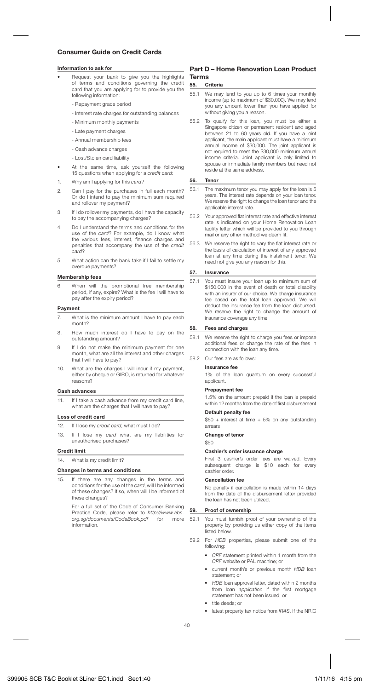## **Consumer Guide on Credit Cards**

#### **Information to ask for**

- Request your bank to give you the highlights of terms and conditions governing the credit card that you are applying for to provide you the following information:
	- Repayment grace period
	- Interest rate charges for outstanding balances
	- Minimum monthly payments
	- Late payment charges
	- Annual membership fees
	- Cash advance charges
	- Lost/Stolen card liability
- At the same time, ask yourself the following 15 questions when applying for a *credit card*:
- 1. Why am I applying for this card?
- 2. Can I pay for the purchases in full each month? Or do I intend to pay the minimum sum required and rollover my payment?
- 3. If I do rollover my payments, do I have the capacity to pay the accompanying charges?
- 4. Do I understand the terms and conditions for the use of the card? For example, do I know what the various fees, interest, finance charges and penalties that accompany the use of the credit card?
- 5. What action can the bank take if I fail to settle my overdue payments?

#### **Membership fees**

6. When will the promotional free membership period, if any, expire? What is the fee I will have to pay after the expiry period?

#### **Payment**

- What is the minimum amount I have to pay each month?
- 8. How much interest do I have to pay on the outstanding amount?
- 9. If I do not make the minimum payment for one month, what are all the interest and other charges that I will have to pay?
- 10. What are the charges I will incur if my payment, either by cheque or GIRO, is returned for whatever reasons?

#### **Cash advances**

11. If I take a cash advance from my credit card line, what are the charges that I will have to pay?

#### **Loss of credit card**

- 12. If I lose my credit card, what must I do?
- 13. If I lose my card what are my liabilities for unauthorised purchases?

#### **Credit limit**

14. What is my credit limit?

## **Changes in terms and conditions**

15. If there are any changes in the terms and conditions for the use of the card, will I be informed of these changes? If so, when will I be informed of these changes?

> For a full set of the Code of Consumer Banking Practice Code, please refer to http://www.abs.<br>org sa/documents/CodeBook pdf for more org.sg/documents/CodeBook.pdf information.

## **Part D – Home Renovation Loan Product Terms**

### **55. Criteria**

- 55.1 We may lend to you up to 6 times your monthly income (up to maximum of \$30,000). We may lend you any amount lower than you have applied for without giving you a reason.
- 55.2 To qualify for this loan, you must be either a Singapore citizen or permanent resident and aged between 21 to 60 years old. If you have a joint applicant, the main applicant must have a minimum annual income of \$30,000. The joint applicant is not required to meet the \$30,000 minimum annual income criteria. Joint applicant is only limited to spouse or immediate family members but need not reside at the same address.

#### **56. Tenor**

- 56.1 The maximum tenor you may apply for the loan is 5 years. The interest rate depends on your loan tenor. We reserve the right to change the loan tenor and the applicable interest rate.
- 56.2 Your approved flat interest rate and effective interest rate is indicated on your Home Renovation Loan facility letter which will be provided to you through mail or any other method we deem fit.
- 56.3 We reserve the right to vary the flat interest rate or the basis of calculation of interest of any approved loan at any time during the instalment tenor. We need not give you any reason for this.

#### **57. Insurance**

57.1 You must insure your loan up to minimum sum of \$150,000 in the event of death or total disability with an insurer of our choice. We charge insurance fee based on the total loan approved. We will deduct the insurance fee from the loan disbursed. We reserve the right to change the amount of insurance coverage any time.

#### **58. Fees and charges**

- 58.1 We reserve the right to charge you fees or impose additional fees or change the rate of the fees in connection with the loan any time.
- 58.2 Our fees are as follows:

#### **Insurance fee**

 1% of the loan quantum on every successful applicant.

#### **Prepayment fee**

 1.5% on the amount prepaid if the loan is prepaid within 12 months from the date of first disbursement

## **Default penalty fee**

 \$60 + interest at time + 5% on any outstanding arrears

#### **Change of tenor**

\$50

#### **Cashier's order issuance charge**

 First 3 cashier's order fees are waived. Every subsequent charge is \$10 each for every cashier order.

## **Cancellation fee**

 No penalty if cancellation is made within 14 days from the date of the disbursement letter provided the loan has not been utilized.

#### **59. Proof of ownership**

- 59.1 You must furnish proof of your ownership of the property by providing us either copy of the items listed below.
- 59.2 For HDB properties, please submit one of the following:
	- CPF statement printed within 1 month from the CPF website or PAL machine; or
	- current month's or previous month HDB loan statement; or
	- HDB loan approval letter, dated within 2 months from loan *application* if the first mortgage statement has not been issued; or
	- title deeds; or
	- latest property tax notice from IRAS. If the NRIC